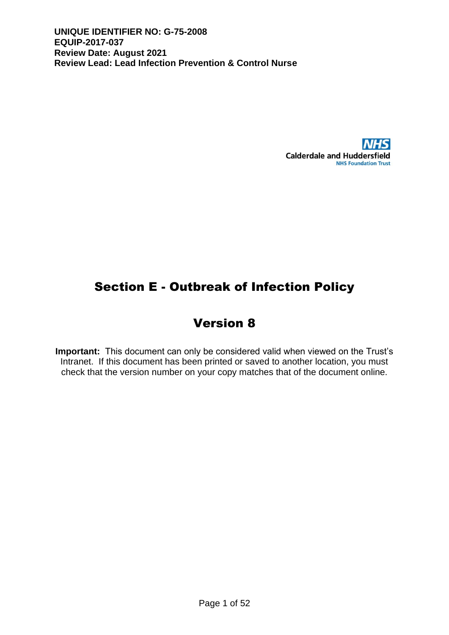

# Section E - Outbreak of Infection Policy

# Version 8

**Important:** This document can only be considered valid when viewed on the Trust's Intranet. If this document has been printed or saved to another location, you must check that the version number on your copy matches that of the document online.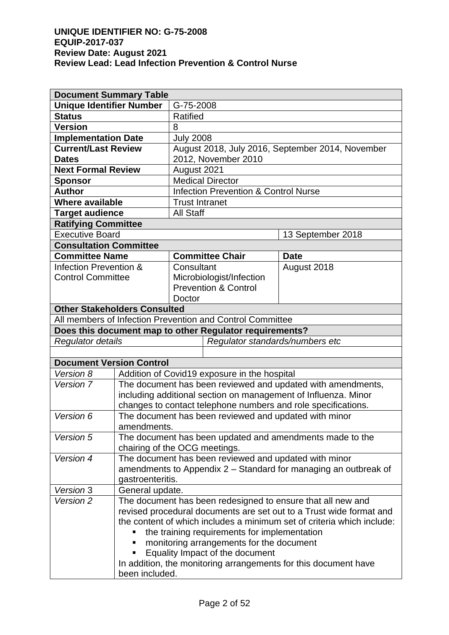| <b>Document Summary Table</b>       |                                                                        |                                 |                                                                |                                                                 |  |
|-------------------------------------|------------------------------------------------------------------------|---------------------------------|----------------------------------------------------------------|-----------------------------------------------------------------|--|
| <b>Unique Identifier Number</b>     |                                                                        | G-75-2008                       |                                                                |                                                                 |  |
| <b>Status</b>                       |                                                                        |                                 | <b>Ratified</b>                                                |                                                                 |  |
| <b>Version</b>                      |                                                                        | 8                               |                                                                |                                                                 |  |
| <b>Implementation Date</b>          |                                                                        | <b>July 2008</b>                |                                                                |                                                                 |  |
| <b>Current/Last Review</b>          |                                                                        |                                 |                                                                | August 2018, July 2016, September 2014, November                |  |
| <b>Dates</b>                        |                                                                        |                                 | 2012, November 2010                                            |                                                                 |  |
| <b>Next Formal Review</b>           |                                                                        | August 2021                     |                                                                |                                                                 |  |
| <b>Sponsor</b>                      |                                                                        |                                 | <b>Medical Director</b>                                        |                                                                 |  |
| <b>Author</b>                       |                                                                        |                                 | <b>Infection Prevention &amp; Control Nurse</b>                |                                                                 |  |
| Where available                     |                                                                        | <b>Trust Intranet</b>           |                                                                |                                                                 |  |
| <b>Target audience</b>              |                                                                        | <b>All Staff</b>                |                                                                |                                                                 |  |
| <b>Ratifying Committee</b>          |                                                                        |                                 |                                                                |                                                                 |  |
| <b>Executive Board</b>              |                                                                        |                                 |                                                                | 13 September 2018                                               |  |
| <b>Consultation Committee</b>       |                                                                        |                                 |                                                                |                                                                 |  |
| <b>Committee Name</b>               |                                                                        |                                 | <b>Committee Chair</b>                                         | <b>Date</b>                                                     |  |
| Infection Prevention &              |                                                                        | Consultant                      |                                                                | August 2018                                                     |  |
| <b>Control Committee</b>            |                                                                        |                                 | Microbiologist/Infection                                       |                                                                 |  |
|                                     |                                                                        |                                 | <b>Prevention &amp; Control</b>                                |                                                                 |  |
|                                     |                                                                        | Doctor                          |                                                                |                                                                 |  |
| <b>Other Stakeholders Consulted</b> |                                                                        |                                 |                                                                |                                                                 |  |
|                                     |                                                                        |                                 | All members of Infection Prevention and Control Committee      |                                                                 |  |
|                                     |                                                                        |                                 | Does this document map to other Regulator requirements?        |                                                                 |  |
| Regulator details                   |                                                                        | Regulator standards/numbers etc |                                                                |                                                                 |  |
|                                     |                                                                        |                                 |                                                                |                                                                 |  |
| <b>Document Version Control</b>     |                                                                        |                                 |                                                                |                                                                 |  |
| Version 8                           | Addition of Covid19 exposure in the hospital                           |                                 |                                                                |                                                                 |  |
| Version 7                           | The document has been reviewed and updated with amendments,            |                                 |                                                                |                                                                 |  |
|                                     |                                                                        |                                 | including additional section on management of Influenza. Minor |                                                                 |  |
|                                     | changes to contact telephone numbers and role specifications.          |                                 |                                                                |                                                                 |  |
| Version 6                           | The document has been reviewed and updated with minor                  |                                 |                                                                |                                                                 |  |
|                                     | amendments.                                                            |                                 |                                                                |                                                                 |  |
| Version 5                           | The document has been updated and amendments made to the               |                                 |                                                                |                                                                 |  |
|                                     | chairing of the OCG meetings.                                          |                                 |                                                                |                                                                 |  |
| Version 4                           | The document has been reviewed and updated with minor                  |                                 |                                                                |                                                                 |  |
|                                     | amendments to Appendix 2 - Standard for managing an outbreak of        |                                 |                                                                |                                                                 |  |
|                                     | gastroenteritis.                                                       |                                 |                                                                |                                                                 |  |
| Version 3                           | General update.                                                        |                                 |                                                                |                                                                 |  |
| Version 2                           | The document has been redesigned to ensure that all new and            |                                 |                                                                |                                                                 |  |
|                                     | revised procedural documents are set out to a Trust wide format and    |                                 |                                                                |                                                                 |  |
|                                     | the content of which includes a minimum set of criteria which include: |                                 |                                                                |                                                                 |  |
|                                     |                                                                        |                                 | the training requirements for implementation                   |                                                                 |  |
|                                     |                                                                        |                                 | monitoring arrangements for the document                       |                                                                 |  |
|                                     |                                                                        |                                 | Equality Impact of the document                                |                                                                 |  |
|                                     |                                                                        |                                 |                                                                | In addition, the monitoring arrangements for this document have |  |
|                                     | been included.                                                         |                                 |                                                                |                                                                 |  |
|                                     |                                                                        |                                 |                                                                |                                                                 |  |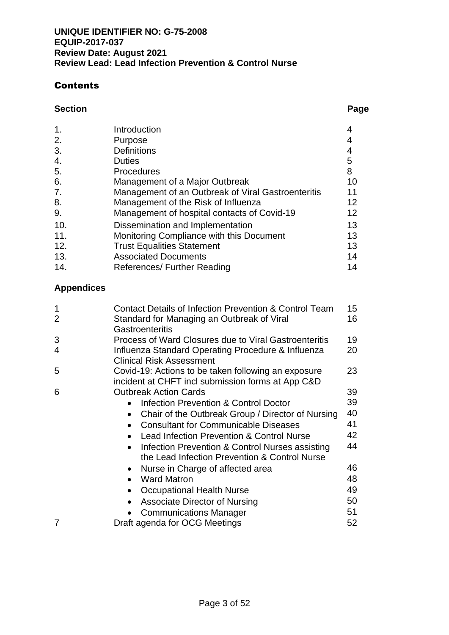### Contents

### **Section Page**

| 1.  | Introduction                                       |                 |
|-----|----------------------------------------------------|-----------------|
| 2.  | Purpose                                            |                 |
| 3.  | <b>Definitions</b>                                 | 4               |
| 4.  | <b>Duties</b>                                      | 5               |
| 5.  | <b>Procedures</b>                                  | 8               |
| 6.  | Management of a Major Outbreak                     | 10              |
| 7.  | Management of an Outbreak of Viral Gastroenteritis | 11              |
| 8.  | Management of the Risk of Influenza                | 12 <sup>2</sup> |
| 9.  | Management of hospital contacts of Covid-19        | 12              |
| 10. | Dissemination and Implementation                   | 13              |
| 11. | Monitoring Compliance with this Document           | 13              |
| 12. | <b>Trust Equalities Statement</b>                  | 13              |
| 13. | <b>Associated Documents</b>                        | 14              |
| 14. | References/ Further Reading                        | 14              |
|     |                                                    |                 |

# **Appendices**

| 1<br>2 | Contact Details of Infection Prevention & Control Team                                                   | 15<br>16 |  |
|--------|----------------------------------------------------------------------------------------------------------|----------|--|
|        | Standard for Managing an Outbreak of Viral<br>Gastroenteritis                                            |          |  |
| 3      | Process of Ward Closures due to Viral Gastroenteritis<br>19                                              |          |  |
| 4      | Influenza Standard Operating Procedure & Influenza<br><b>Clinical Risk Assessment</b>                    | 20       |  |
| 5      | Covid-19: Actions to be taken following an exposure<br>incident at CHFT incl submission forms at App C&D | 23       |  |
| 6      | <b>Outbreak Action Cards</b>                                                                             | 39       |  |
|        | Infection Prevention & Control Doctor                                                                    | 39       |  |
|        | Chair of the Outbreak Group / Director of Nursing                                                        | 40       |  |
|        | <b>Consultant for Communicable Diseases</b>                                                              | 41       |  |
|        | Lead Infection Prevention & Control Nurse                                                                | 42       |  |
|        | Infection Prevention & Control Nurses assisting                                                          | 44       |  |
|        | the Lead Infection Prevention & Control Nurse                                                            |          |  |
|        | Nurse in Charge of affected area<br>$\bullet$                                                            | 46       |  |
|        | <b>Ward Matron</b><br>$\bullet$                                                                          | 48       |  |
|        | Occupational Health Nurse                                                                                | 49       |  |
|        | <b>Associate Director of Nursing</b>                                                                     | 50       |  |
|        | <b>Communications Manager</b>                                                                            | 51       |  |
| 7      | Draft agenda for OCG Meetings                                                                            | 52       |  |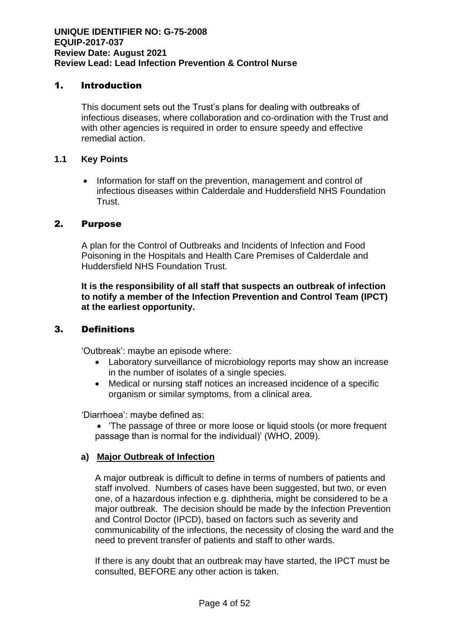#### 1. Introduction

This document sets out the Trust's plans for dealing with outbreaks of infectious diseases, where collaboration and co-ordination with the Trust and with other agencies is required in order to ensure speedy and effective remedial action.

#### **1.1 Key Points**

• Information for staff on the prevention, management and control of infectious diseases within Calderdale and Huddersfield NHS Foundation Trust.

#### 2. Purpose

A plan for the Control of Outbreaks and Incidents of Infection and Food Poisoning in the Hospitals and Health Care Premises of Calderdale and Huddersfield NHS Foundation Trust.

**It is the responsibility of all staff that suspects an outbreak of infection to notify a member of the Infection Prevention and Control Team (IPCT) at the earliest opportunity.**

#### 3. Definitions

'Outbreak': maybe an episode where:

- Laboratory surveillance of microbiology reports may show an increase in the number of isolates of a single species.
- Medical or nursing staff notices an increased incidence of a specific organism or similar symptoms, from a clinical area.

'Diarrhoea': maybe defined as:

• 'The passage of three or more loose or liquid stools (or more frequent passage than is normal for the individual)' (WHO, 2009).

#### **a) Major Outbreak of Infection**

A major outbreak is difficult to define in terms of numbers of patients and staff involved. Numbers of cases have been suggested, but two, or even one, of a hazardous infection e.g. diphtheria, might be considered to be a major outbreak. The decision should be made by the Infection Prevention and Control Doctor (IPCD), based on factors such as severity and communicability of the infections, the necessity of closing the ward and the need to prevent transfer of patients and staff to other wards.

If there is any doubt that an outbreak may have started, the IPCT must be consulted, BEFORE any other action is taken.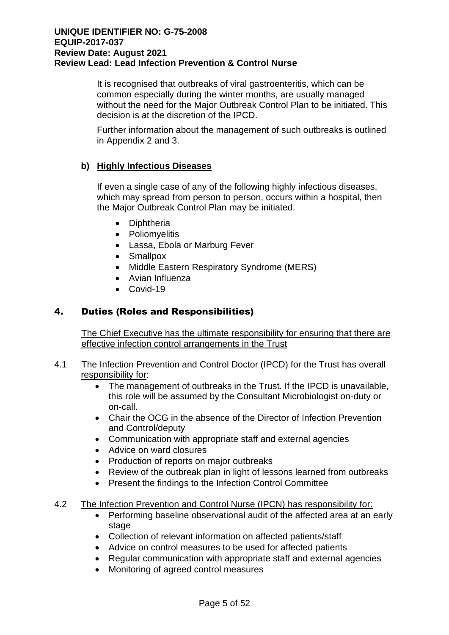It is recognised that outbreaks of viral gastroenteritis, which can be common especially during the winter months, are usually managed without the need for the Major Outbreak Control Plan to be initiated. This decision is at the discretion of the IPCD.

Further information about the management of such outbreaks is outlined in Appendix 2 and 3.

#### **b) Highly Infectious Diseases**

If even a single case of any of the following highly infectious diseases, which may spread from person to person, occurs within a hospital, then the Major Outbreak Control Plan may be initiated.

- Diphtheria
- Poliomyelitis
- Lassa, Ebola or Marburg Fever
- Smallpox
- Middle Eastern Respiratory Syndrome (MERS)
- Avian Influenza
- Covid-19

#### 4. Duties (Roles and Responsibilities)

The Chief Executive has the ultimate responsibility for ensuring that there are effective infection control arrangements in the Trust

#### 4.1 The Infection Prevention and Control Doctor (IPCD) for the Trust has overall responsibility for:

- The management of outbreaks in the Trust. If the IPCD is unavailable, this role will be assumed by the Consultant Microbiologist on-duty or on-call.
- Chair the OCG in the absence of the Director of Infection Prevention and Control/deputy
- Communication with appropriate staff and external agencies
- Advice on ward closures
- Production of reports on major outbreaks
- Review of the outbreak plan in light of lessons learned from outbreaks
- Present the findings to the Infection Control Committee

#### 4.2 The Infection Prevention and Control Nurse (IPCN) has responsibility for:

- Performing baseline observational audit of the affected area at an early stage
- Collection of relevant information on affected patients/staff
- Advice on control measures to be used for affected patients
- Regular communication with appropriate staff and external agencies
- Monitoring of agreed control measures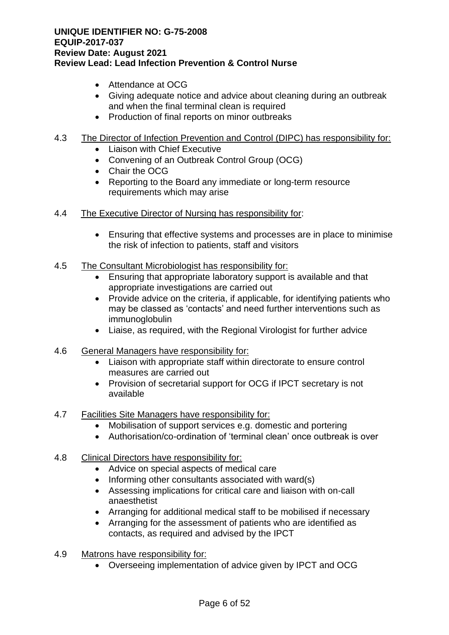- Attendance at OCG
- Giving adequate notice and advice about cleaning during an outbreak and when the final terminal clean is required
- Production of final reports on minor outbreaks

#### 4.3 The Director of Infection Prevention and Control (DIPC) has responsibility for:

- Liaison with Chief Executive
- Convening of an Outbreak Control Group (OCG)
- Chair the OCG
- Reporting to the Board any immediate or long-term resource requirements which may arise
- 4.4 The Executive Director of Nursing has responsibility for:
	- Ensuring that effective systems and processes are in place to minimise the risk of infection to patients, staff and visitors
- 4.5 The Consultant Microbiologist has responsibility for:
	- Ensuring that appropriate laboratory support is available and that appropriate investigations are carried out
	- Provide advice on the criteria, if applicable, for identifying patients who may be classed as 'contacts' and need further interventions such as immunoglobulin
	- Liaise, as required, with the Regional Virologist for further advice
- 4.6 General Managers have responsibility for:
	- Liaison with appropriate staff within directorate to ensure control measures are carried out
	- Provision of secretarial support for OCG if IPCT secretary is not available
- 4.7 Facilities Site Managers have responsibility for:
	- Mobilisation of support services e.g. domestic and portering
	- Authorisation/co-ordination of 'terminal clean' once outbreak is over

#### 4.8 Clinical Directors have responsibility for:

- Advice on special aspects of medical care
- Informing other consultants associated with ward(s)
- Assessing implications for critical care and liaison with on-call anaesthetist
- Arranging for additional medical staff to be mobilised if necessary
- Arranging for the assessment of patients who are identified as contacts, as required and advised by the IPCT
- 4.9 Matrons have responsibility for:
	- Overseeing implementation of advice given by IPCT and OCG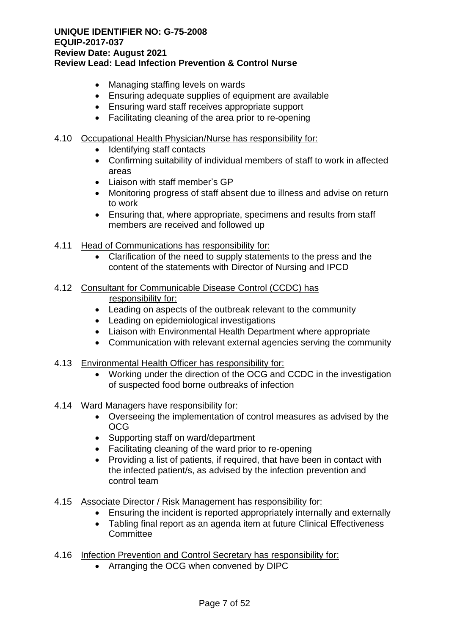- Managing staffing levels on wards
- Ensuring adequate supplies of equipment are available
- Ensuring ward staff receives appropriate support
- Facilitating cleaning of the area prior to re-opening

#### 4.10 Occupational Health Physician/Nurse has responsibility for:

- Identifying staff contacts
- Confirming suitability of individual members of staff to work in affected areas
- Liaison with staff member's GP
- Monitoring progress of staff absent due to illness and advise on return to work
- Ensuring that, where appropriate, specimens and results from staff members are received and followed up
- 4.11 Head of Communications has responsibility for:
	- Clarification of the need to supply statements to the press and the content of the statements with Director of Nursing and IPCD

### 4.12 Consultant for Communicable Disease Control (CCDC) has

responsibility for:

- Leading on aspects of the outbreak relevant to the community
- Leading on epidemiological investigations
- Liaison with Environmental Health Department where appropriate
- Communication with relevant external agencies serving the community
- 4.13 Environmental Health Officer has responsibility for:
	- Working under the direction of the OCG and CCDC in the investigation of suspected food borne outbreaks of infection

#### 4.14 Ward Managers have responsibility for:

- Overseeing the implementation of control measures as advised by the OCG
- Supporting staff on ward/department
- Facilitating cleaning of the ward prior to re-opening
- Providing a list of patients, if required, that have been in contact with the infected patient/s, as advised by the infection prevention and control team

#### 4.15 Associate Director / Risk Management has responsibility for:

- Ensuring the incident is reported appropriately internally and externally
- Tabling final report as an agenda item at future Clinical Effectiveness **Committee**
- 4.16 Infection Prevention and Control Secretary has responsibility for:
	- Arranging the OCG when convened by DIPC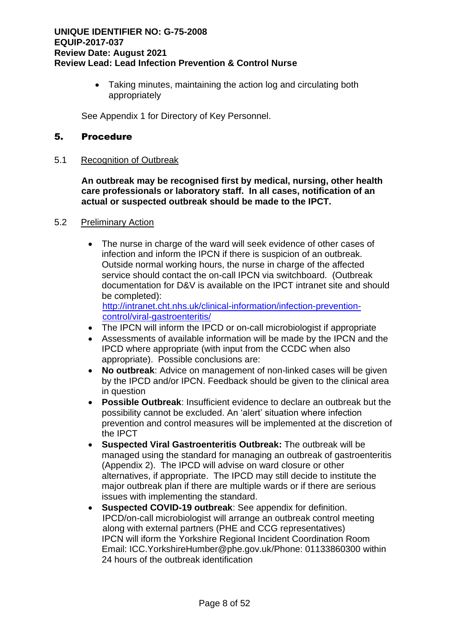• Taking minutes, maintaining the action log and circulating both appropriately

See Appendix 1 for Directory of Key Personnel.

#### 5. Procedure

5.1 Recognition of Outbreak

**An outbreak may be recognised first by medical, nursing, other health care professionals or laboratory staff. In all cases, notification of an actual or suspected outbreak should be made to the IPCT.** 

#### 5.2 Preliminary Action

The nurse in charge of the ward will seek evidence of other cases of infection and inform the IPCN if there is suspicion of an outbreak. Outside normal working hours, the nurse in charge of the affected service should contact the on-call IPCN via switchboard. (Outbreak documentation for D&V is available on the IPCT intranet site and should be completed):

[http://intranet.cht.nhs.uk/clinical-information/infection-prevention](http://intranet.cht.nhs.uk/clinical-information/infection-prevention-control/viral-gastroenteritis/)[control/viral-gastroenteritis/](http://intranet.cht.nhs.uk/clinical-information/infection-prevention-control/viral-gastroenteritis/)

- The IPCN will inform the IPCD or on-call microbiologist if appropriate
- Assessments of available information will be made by the IPCN and the IPCD where appropriate (with input from the CCDC when also appropriate). Possible conclusions are:
- **No outbreak**: Advice on management of non-linked cases will be given by the IPCD and/or IPCN. Feedback should be given to the clinical area in question
- **Possible Outbreak**: Insufficient evidence to declare an outbreak but the possibility cannot be excluded. An 'alert' situation where infection prevention and control measures will be implemented at the discretion of the IPCT
- **Suspected Viral Gastroenteritis Outbreak:** The outbreak will be managed using the standard for managing an outbreak of gastroenteritis (Appendix 2). The IPCD will advise on ward closure or other alternatives, if appropriate. The IPCD may still decide to institute the major outbreak plan if there are multiple wards or if there are serious issues with implementing the standard.
- **Suspected COVID-19 outbreak**: See appendix for definition. IPCD/on-call microbiologist will arrange an outbreak control meeting along with external partners (PHE and CCG representatives) IPCN will iform the Yorkshire Regional Incident Coordination Room Email: ICC.YorkshireHumber@phe.gov.uk/Phone: 01133860300 within 24 hours of the outbreak identification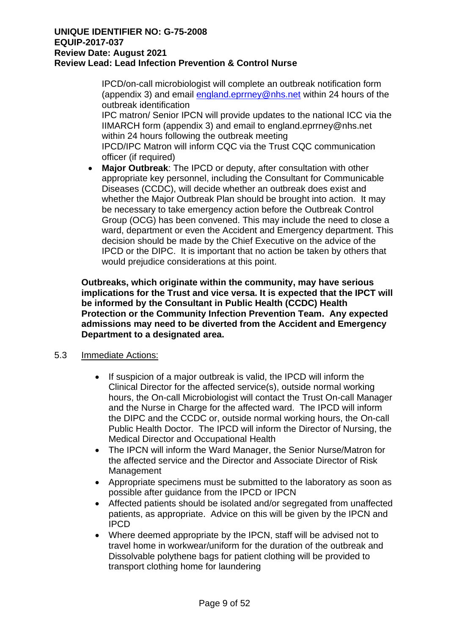IPCD/on-call microbiologist will complete an outbreak notification form (appendix 3) and email [england.eprrney@nhs.net](mailto:england.eprrney@nhs.net) within 24 hours of the outbreak identification

IPC matron/ Senior IPCN will provide updates to the national ICC via the IIMARCH form (appendix 3) and email to england.eprrney@nhs.net within 24 hours following the outbreak meeting IPCD/IPC Matron will inform CQC via the Trust CQC communication officer (if required)

• **Major Outbreak**: The IPCD or deputy, after consultation with other appropriate key personnel, including the Consultant for Communicable Diseases (CCDC), will decide whether an outbreak does exist and whether the Major Outbreak Plan should be brought into action. It may be necessary to take emergency action before the Outbreak Control Group (OCG) has been convened. This may include the need to close a ward, department or even the Accident and Emergency department. This decision should be made by the Chief Executive on the advice of the IPCD or the DIPC. It is important that no action be taken by others that would prejudice considerations at this point.

**Outbreaks, which originate within the community, may have serious implications for the Trust and vice versa. It is expected that the IPCT will be informed by the Consultant in Public Health (CCDC) Health Protection or the Community Infection Prevention Team. Any expected admissions may need to be diverted from the Accident and Emergency Department to a designated area.**

#### 5.3 Immediate Actions:

- If suspicion of a major outbreak is valid, the IPCD will inform the Clinical Director for the affected service(s), outside normal working hours, the On-call Microbiologist will contact the Trust On-call Manager and the Nurse in Charge for the affected ward. The IPCD will inform the DIPC and the CCDC or, outside normal working hours, the On-call Public Health Doctor. The IPCD will inform the Director of Nursing, the Medical Director and Occupational Health
- The IPCN will inform the Ward Manager, the Senior Nurse/Matron for the affected service and the Director and Associate Director of Risk Management
- Appropriate specimens must be submitted to the laboratory as soon as possible after guidance from the IPCD or IPCN
- Affected patients should be isolated and/or segregated from unaffected patients, as appropriate. Advice on this will be given by the IPCN and IPCD
- Where deemed appropriate by the IPCN, staff will be advised not to travel home in workwear/uniform for the duration of the outbreak and Dissolvable polythene bags for patient clothing will be provided to transport clothing home for laundering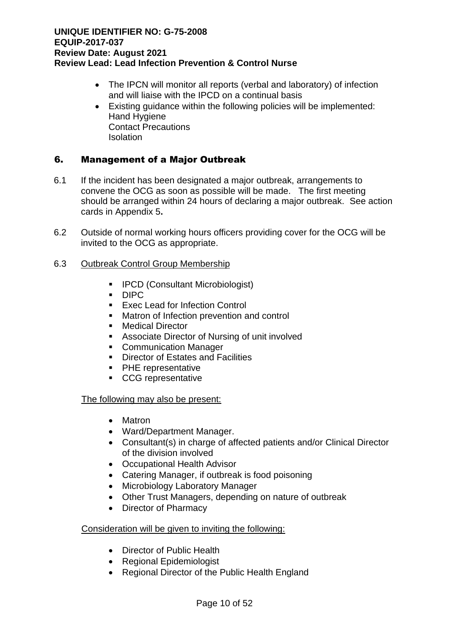- The IPCN will monitor all reports (verbal and laboratory) of infection and will liaise with the IPCD on a continual basis
- Existing guidance within the following policies will be implemented: Hand Hygiene Contact Precautions Isolation

#### 6. Management of a Major Outbreak

- 6.1 If the incident has been designated a major outbreak, arrangements to convene the OCG as soon as possible will be made. The first meeting should be arranged within 24 hours of declaring a major outbreak. See action cards in Appendix 5**.**
- 6.2 Outside of normal working hours officers providing cover for the OCG will be invited to the OCG as appropriate.

#### 6.3 Outbreak Control Group Membership

- IPCD (Consultant Microbiologist)
- DIPC
- Exec Lead for Infection Control
- Matron of Infection prevention and control
- Medical Director
- Associate Director of Nursing of unit involved
- Communication Manager
- Director of Estates and Facilities
- PHE representative
- CCG representative

#### The following may also be present:

- Matron
- Ward/Department Manager.
- Consultant(s) in charge of affected patients and/or Clinical Director of the division involved
- Occupational Health Advisor
- Catering Manager, if outbreak is food poisoning
- Microbiology Laboratory Manager
- Other Trust Managers, depending on nature of outbreak
- Director of Pharmacy

#### Consideration will be given to inviting the following:

- Director of Public Health
- Regional Epidemiologist
- Regional Director of the Public Health England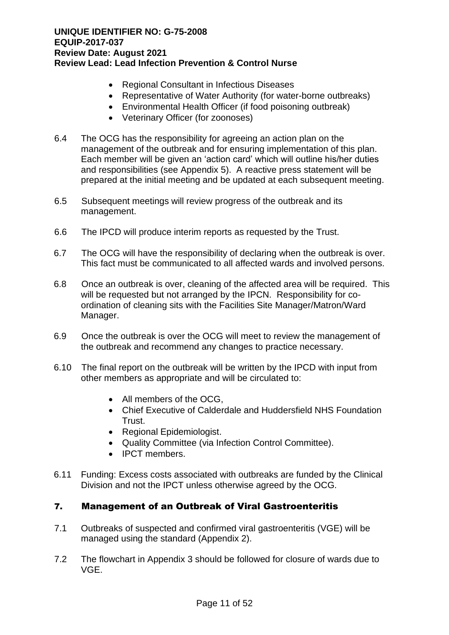- Regional Consultant in Infectious Diseases
- Representative of Water Authority (for water-borne outbreaks)
- Environmental Health Officer (if food poisoning outbreak)
- Veterinary Officer (for zoonoses)
- 6.4 The OCG has the responsibility for agreeing an action plan on the management of the outbreak and for ensuring implementation of this plan. Each member will be given an 'action card' which will outline his/her duties and responsibilities (see Appendix 5). A reactive press statement will be prepared at the initial meeting and be updated at each subsequent meeting.
- 6.5 Subsequent meetings will review progress of the outbreak and its management.
- 6.6 The IPCD will produce interim reports as requested by the Trust.
- 6.7 The OCG will have the responsibility of declaring when the outbreak is over. This fact must be communicated to all affected wards and involved persons.
- 6.8 Once an outbreak is over, cleaning of the affected area will be required. This will be requested but not arranged by the IPCN. Responsibility for coordination of cleaning sits with the Facilities Site Manager/Matron/Ward Manager.
- 6.9 Once the outbreak is over the OCG will meet to review the management of the outbreak and recommend any changes to practice necessary.
- 6.10 The final report on the outbreak will be written by the IPCD with input from other members as appropriate and will be circulated to:
	- All members of the OCG,
	- Chief Executive of Calderdale and Huddersfield NHS Foundation Trust.
	- Regional Epidemiologist.
	- Quality Committee (via Infection Control Committee).
	- IPCT members.
- 6.11 Funding: Excess costs associated with outbreaks are funded by the Clinical Division and not the IPCT unless otherwise agreed by the OCG.

#### 7. Management of an Outbreak of Viral Gastroenteritis

- 7.1 Outbreaks of suspected and confirmed viral gastroenteritis (VGE) will be managed using the standard (Appendix 2).
- 7.2 The flowchart in Appendix 3 should be followed for closure of wards due to VGE.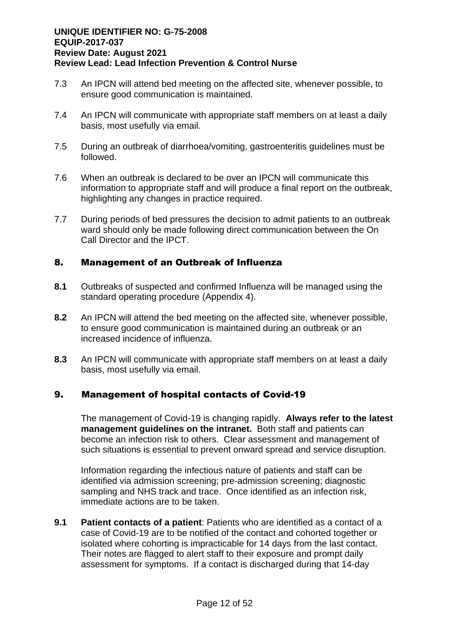- 7.3 An IPCN will attend bed meeting on the affected site, whenever possible, to ensure good communication is maintained.
- 7.4 An IPCN will communicate with appropriate staff members on at least a daily basis, most usefully via email.
- 7.5 During an outbreak of diarrhoea/vomiting, gastroenteritis guidelines must be followed.
- 7.6 When an outbreak is declared to be over an IPCN will communicate this information to appropriate staff and will produce a final report on the outbreak, highlighting any changes in practice required.
- 7.7 During periods of bed pressures the decision to admit patients to an outbreak ward should only be made following direct communication between the On Call Director and the IPCT.

#### 8. Management of an Outbreak of Influenza

- **8.1** Outbreaks of suspected and confirmed Influenza will be managed using the standard operating procedure (Appendix 4).
- **8.2** An IPCN will attend the bed meeting on the affected site, whenever possible, to ensure good communication is maintained during an outbreak or an increased incidence of influenza.
- **8.3** An IPCN will communicate with appropriate staff members on at least a daily basis, most usefully via email.

#### 9. Management of hospital contacts of Covid-19

The management of Covid-19 is changing rapidly. **Always refer to the latest management guidelines on the intranet.** Both staff and patients can become an infection risk to others. Clear assessment and management of such situations is essential to prevent onward spread and service disruption.

Information regarding the infectious nature of patients and staff can be identified via admission screening; pre-admission screening; diagnostic sampling and NHS track and trace. Once identified as an infection risk, immediate actions are to be taken.

**9.1 Patient contacts of a patient**: Patients who are identified as a contact of a case of Covid-19 are to be notified of the contact and cohorted together or isolated where cohorting is impracticable for 14 days from the last contact. Their notes are flagged to alert staff to their exposure and prompt daily assessment for symptoms. If a contact is discharged during that 14-day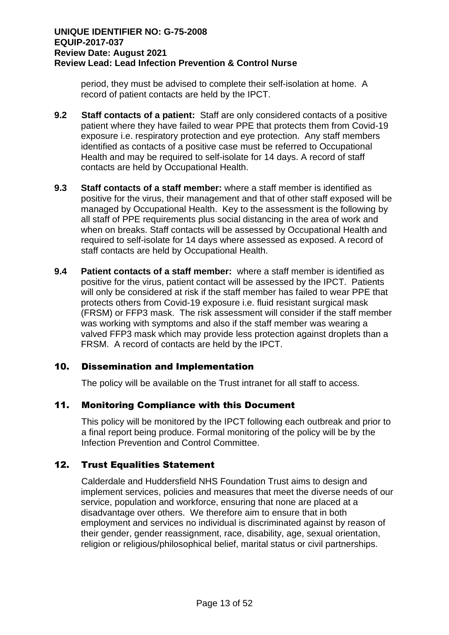period, they must be advised to complete their self-isolation at home. A record of patient contacts are held by the IPCT.

- **9.2 Staff contacts of a patient:** Staff are only considered contacts of a positive patient where they have failed to wear PPE that protects them from Covid-19 exposure i.e. respiratory protection and eye protection. Any staff members identified as contacts of a positive case must be referred to Occupational Health and may be required to self-isolate for 14 days. A record of staff contacts are held by Occupational Health.
- **9.3 Staff contacts of a staff member:** where a staff member is identified as positive for the virus, their management and that of other staff exposed will be managed by Occupational Health. Key to the assessment is the following by all staff of PPE requirements plus social distancing in the area of work and when on breaks. Staff contacts will be assessed by Occupational Health and required to self-isolate for 14 days where assessed as exposed. A record of staff contacts are held by Occupational Health.
- **9.4 Patient contacts of a staff member:** where a staff member is identified as positive for the virus, patient contact will be assessed by the IPCT. Patients will only be considered at risk if the staff member has failed to wear PPE that protects others from Covid-19 exposure i.e. fluid resistant surgical mask (FRSM) or FFP3 mask. The risk assessment will consider if the staff member was working with symptoms and also if the staff member was wearing a valved FFP3 mask which may provide less protection against droplets than a FRSM. A record of contacts are held by the IPCT.

#### 10. Dissemination and Implementation

The policy will be available on the Trust intranet for all staff to access.

#### 11. Monitoring Compliance with this Document

This policy will be monitored by the IPCT following each outbreak and prior to a final report being produce. Formal monitoring of the policy will be by the Infection Prevention and Control Committee.

#### 12. Trust Equalities Statement

Calderdale and Huddersfield NHS Foundation Trust aims to design and implement services, policies and measures that meet the diverse needs of our service, population and workforce, ensuring that none are placed at a disadvantage over others. We therefore aim to ensure that in both employment and services no individual is discriminated against by reason of their gender, gender reassignment, race, disability, age, sexual orientation, religion or religious/philosophical belief, marital status or civil partnerships.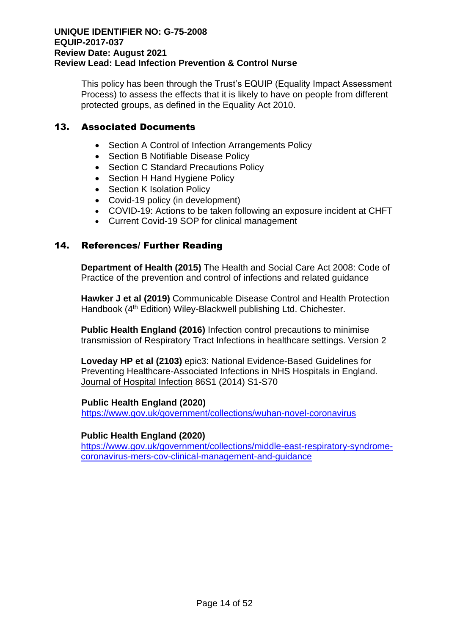This policy has been through the Trust's EQUIP (Equality Impact Assessment Process) to assess the effects that it is likely to have on people from different protected groups, as defined in the Equality Act 2010.

#### 13. Associated Documents

- Section A Control of Infection Arrangements Policy
- Section B Notifiable Disease Policy
- Section C Standard Precautions Policy
- Section H Hand Hygiene Policy
- Section K Isolation Policy
- Covid-19 policy (in development)
- COVID-19: Actions to be taken following an exposure incident at CHFT
- Current Covid-19 SOP for clinical management

#### 14. References/ Further Reading

**Department of Health (2015)** The Health and Social Care Act 2008: Code of Practice of the prevention and control of infections and related guidance

**Hawker J et al (2019)** Communicable Disease Control and Health Protection Handbook (4<sup>th</sup> Edition) Wiley-Blackwell publishing Ltd. Chichester.

**Public Health England (2016)** Infection control precautions to minimise transmission of Respiratory Tract Infections in healthcare settings. Version 2

**Loveday HP et al (2103)** epic3: National Evidence-Based Guidelines for Preventing Healthcare-Associated Infections in NHS Hospitals in England. Journal of Hospital Infection 86S1 (2014) S1-S70

#### **Public Health England (2020)**

<https://www.gov.uk/government/collections/wuhan-novel-coronavirus>

#### **Public Health England (2020)**

[https://www.gov.uk/government/collections/middle-east-respiratory-syndrome](https://www.gov.uk/government/collections/middle-east-respiratory-syndrome-coronavirus-mers-cov-clinical-management-and-guidance)[coronavirus-mers-cov-clinical-management-and-guidance](https://www.gov.uk/government/collections/middle-east-respiratory-syndrome-coronavirus-mers-cov-clinical-management-and-guidance)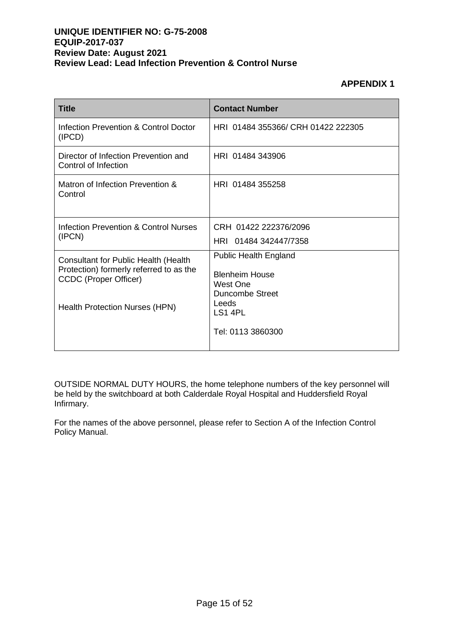#### **APPENDIX 1**

| <b>Title</b>                                                            | <b>Contact Number</b>              |  |
|-------------------------------------------------------------------------|------------------------------------|--|
| Infection Prevention & Control Doctor<br>(IPCD)                         | HRI 01484 355366/ CRH 01422 222305 |  |
| Director of Infection Prevention and<br>Control of Infection            | HRI 01484 343906                   |  |
| Matron of Infection Prevention &<br>Control                             | HRI 01484 355258                   |  |
| Infection Prevention & Control Nurses                                   | CRH 01422 222376/2096              |  |
| (IPCN)                                                                  | HRI 01484 342447/7358              |  |
| Consultant for Public Health (Health                                    | <b>Public Health England</b>       |  |
| Protection) formerly referred to as the<br><b>CCDC</b> (Proper Officer) | <b>Blenheim House</b><br>West One  |  |
|                                                                         | Duncombe Street                    |  |
| <b>Health Protection Nurses (HPN)</b>                                   | Leeds<br>LS1 4PL                   |  |
|                                                                         | Tel: 0113 3860300                  |  |

OUTSIDE NORMAL DUTY HOURS, the home telephone numbers of the key personnel will be held by the switchboard at both Calderdale Royal Hospital and Huddersfield Royal Infirmary.

For the names of the above personnel, please refer to Section A of the Infection Control Policy Manual.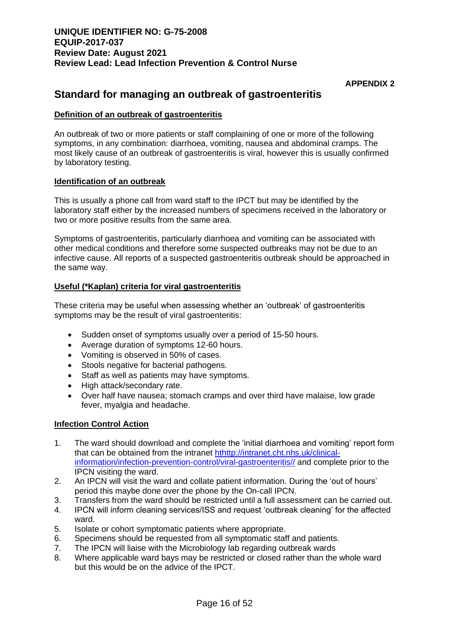#### **APPENDIX 2**

### **Standard for managing an outbreak of gastroenteritis**

#### **Definition of an outbreak of gastroenteritis**

An outbreak of two or more patients or staff complaining of one or more of the following symptoms, in any combination: diarrhoea, vomiting, nausea and abdominal cramps. The most likely cause of an outbreak of gastroenteritis is viral, however this is usually confirmed by laboratory testing.

#### **Identification of an outbreak**

This is usually a phone call from ward staff to the IPCT but may be identified by the laboratory staff either by the increased numbers of specimens received in the laboratory or two or more positive results from the same area.

Symptoms of gastroenteritis, particularly diarrhoea and vomiting can be associated with other medical conditions and therefore some suspected outbreaks may not be due to an infective cause. All reports of a suspected gastroenteritis outbreak should be approached in the same way.

#### **Useful (\*Kaplan) criteria for viral gastroenteritis**

These criteria may be useful when assessing whether an 'outbreak' of gastroenteritis symptoms may be the result of viral gastroenteritis:

- Sudden onset of symptoms usually over a period of 15-50 hours.
- Average duration of symptoms 12-60 hours.
- Vomiting is observed in 50% of cases.
- Stools negative for bacterial pathogens.
- Staff as well as patients may have symptoms.
- High attack/secondary rate.
- Over half have nausea; stomach cramps and over third have malaise, low grade fever, myalgia and headache.

#### **Infection Control Action**

- 1. The ward should download and complete the 'initial diarrhoea and vomiting' report form that can be obtained from the intranet [hthttp://intranet.cht.nhs.uk/clinical](http://nww.cht.nhs.uk/divisions/diagnostic-and-therapeutic/infection-prevention-control-news/viral-gastroenteritis-ward-toolkit/)[information/infection-prevention-control/viral-gastroenteritis//](http://nww.cht.nhs.uk/divisions/diagnostic-and-therapeutic/infection-prevention-control-news/viral-gastroenteritis-ward-toolkit/) and complete prior to the IPCN visiting the ward.
- 2. An IPCN will visit the ward and collate patient information. During the 'out of hours' period this maybe done over the phone by the On-call IPCN.
- 3. Transfers from the ward should be restricted until a full assessment can be carried out.
- 4. IPCN will inform cleaning services/ISS and request 'outbreak cleaning' for the affected ward.
- 5. Isolate or cohort symptomatic patients where appropriate.
- 6. Specimens should be requested from all symptomatic staff and patients.
- 7. The IPCN will liaise with the Microbiology lab regarding outbreak wards
- 8. Where applicable ward bays may be restricted or closed rather than the whole ward but this would be on the advice of the IPCT.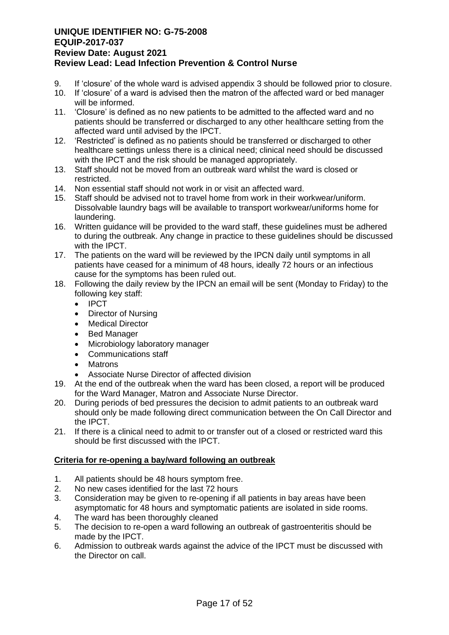- 9. If 'closure' of the whole ward is advised appendix 3 should be followed prior to closure.
- 10. If 'closure' of a ward is advised then the matron of the affected ward or bed manager will be informed.
- 11. 'Closure' is defined as no new patients to be admitted to the affected ward and no patients should be transferred or discharged to any other healthcare setting from the affected ward until advised by the IPCT.
- 12. 'Restricted' is defined as no patients should be transferred or discharged to other healthcare settings unless there is a clinical need; clinical need should be discussed with the IPCT and the risk should be managed appropriately.
- 13. Staff should not be moved from an outbreak ward whilst the ward is closed or restricted.
- 14. Non essential staff should not work in or visit an affected ward.
- 15. Staff should be advised not to travel home from work in their workwear/uniform. Dissolvable laundry bags will be available to transport workwear/uniforms home for laundering.
- 16. Written guidance will be provided to the ward staff, these guidelines must be adhered to during the outbreak. Any change in practice to these guidelines should be discussed with the IPCT.
- 17. The patients on the ward will be reviewed by the IPCN daily until symptoms in all patients have ceased for a minimum of 48 hours, ideally 72 hours or an infectious cause for the symptoms has been ruled out.
- 18. Following the daily review by the IPCN an email will be sent (Monday to Friday) to the following key staff:
	- IPCT
	- Director of Nursing
	- **Medical Director**
	- **Bed Manager**
	- Microbiology laboratory manager
	- Communications staff
	- **Matrons**
	- Associate Nurse Director of affected division
- 19. At the end of the outbreak when the ward has been closed, a report will be produced for the Ward Manager, Matron and Associate Nurse Director.
- 20. During periods of bed pressures the decision to admit patients to an outbreak ward should only be made following direct communication between the On Call Director and the IPCT.
- 21. If there is a clinical need to admit to or transfer out of a closed or restricted ward this should be first discussed with the IPCT.

#### **Criteria for re-opening a bay/ward following an outbreak**

- 1. All patients should be 48 hours symptom free.
- 2. No new cases identified for the last 72 hours
- 3. Consideration may be given to re-opening if all patients in bay areas have been asymptomatic for 48 hours and symptomatic patients are isolated in side rooms.
- 4. The ward has been thoroughly cleaned
- 5. The decision to re-open a ward following an outbreak of gastroenteritis should be made by the IPCT.
- 6. Admission to outbreak wards against the advice of the IPCT must be discussed with the Director on call.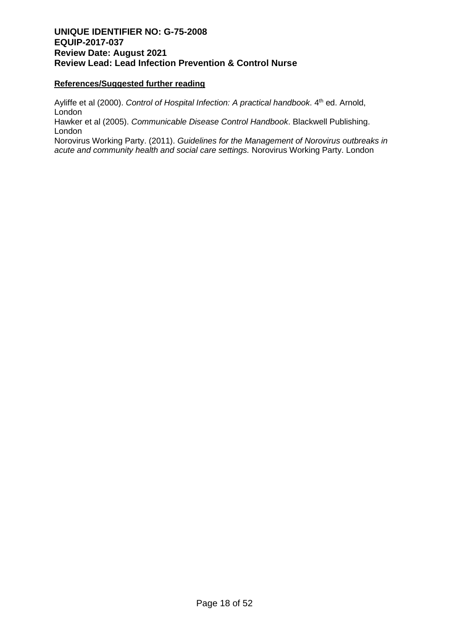#### **References/Suggested further reading**

Ayliffe et al (2000). *Control of Hospital Infection: A practical handbook*. 4<sup>th</sup> ed. Arnold, **London** 

Hawker et al (2005). *Communicable Disease Control Handbook*. Blackwell Publishing. London

Norovirus Working Party. (2011). *Guidelines for the Management of Norovirus outbreaks in acute and community health and social care settings.* Norovirus Working Party. London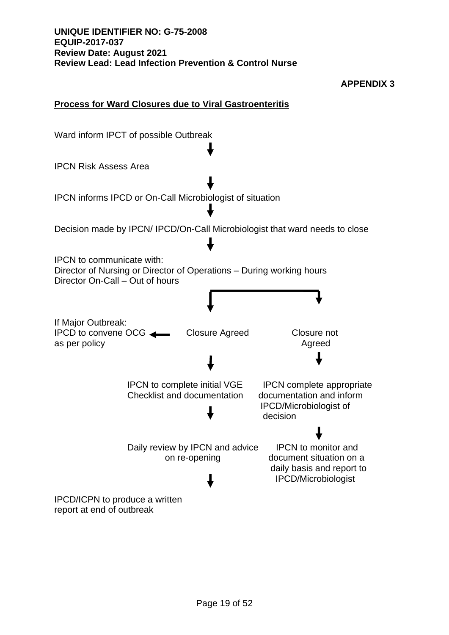

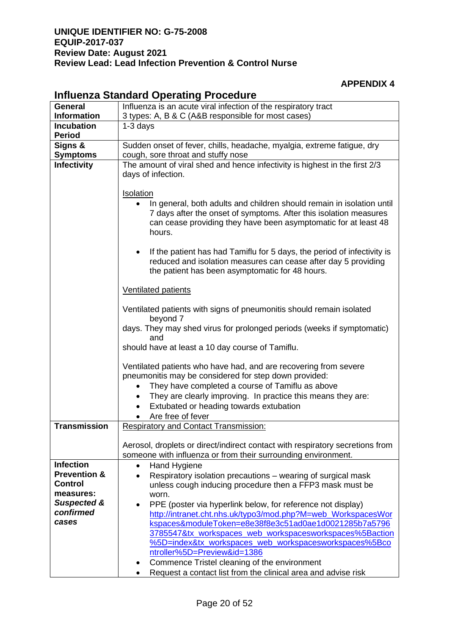#### **APPENDIX 4**

| <b>General</b>              | --<br>Influenza is an acute viral infection of the respiratory tract                                                                                                                                                                                                                                                       |  |  |
|-----------------------------|----------------------------------------------------------------------------------------------------------------------------------------------------------------------------------------------------------------------------------------------------------------------------------------------------------------------------|--|--|
| <b>Information</b>          | 3 types: A, B & C (A&B responsible for most cases)                                                                                                                                                                                                                                                                         |  |  |
| <b>Incubation</b>           | $1-3$ days                                                                                                                                                                                                                                                                                                                 |  |  |
| <b>Period</b>               |                                                                                                                                                                                                                                                                                                                            |  |  |
| Signs &                     | Sudden onset of fever, chills, headache, myalgia, extreme fatigue, dry                                                                                                                                                                                                                                                     |  |  |
| <b>Symptoms</b>             | cough, sore throat and stuffy nose                                                                                                                                                                                                                                                                                         |  |  |
| <b>Infectivity</b>          | The amount of viral shed and hence infectivity is highest in the first 2/3<br>days of infection.                                                                                                                                                                                                                           |  |  |
|                             | <b>Isolation</b>                                                                                                                                                                                                                                                                                                           |  |  |
|                             | In general, both adults and children should remain in isolation until<br>7 days after the onset of symptoms. After this isolation measures<br>can cease providing they have been asymptomatic for at least 48<br>hours.                                                                                                    |  |  |
|                             | If the patient has had Tamiflu for 5 days, the period of infectivity is<br>reduced and isolation measures can cease after day 5 providing<br>the patient has been asymptomatic for 48 hours.                                                                                                                               |  |  |
|                             | <b>Ventilated patients</b>                                                                                                                                                                                                                                                                                                 |  |  |
|                             | Ventilated patients with signs of pneumonitis should remain isolated<br>beyond 7                                                                                                                                                                                                                                           |  |  |
|                             | days. They may shed virus for prolonged periods (weeks if symptomatic)<br>and                                                                                                                                                                                                                                              |  |  |
|                             | should have at least a 10 day course of Tamiflu.                                                                                                                                                                                                                                                                           |  |  |
|                             | Ventilated patients who have had, and are recovering from severe<br>pneumonitis may be considered for step down provided:<br>They have completed a course of Tamiflu as above<br>They are clearly improving. In practice this means they are:<br>$\bullet$<br>Extubated or heading towards extubation<br>Are free of fever |  |  |
| <b>Transmission</b>         | <b>Respiratory and Contact Transmission:</b>                                                                                                                                                                                                                                                                               |  |  |
|                             | Aerosol, droplets or direct/indirect contact with respiratory secretions from<br>someone with influenza or from their surrounding environment.                                                                                                                                                                             |  |  |
| <b>Infection</b>            | Hand Hygiene                                                                                                                                                                                                                                                                                                               |  |  |
| <b>Prevention &amp;</b>     | Respiratory isolation precautions – wearing of surgical mask                                                                                                                                                                                                                                                               |  |  |
| <b>Control</b><br>measures: | unless cough inducing procedure then a FFP3 mask must be                                                                                                                                                                                                                                                                   |  |  |
| <b>Suspected &amp;</b>      | worn.<br>PPE (poster via hyperlink below, for reference not display)<br>$\bullet$                                                                                                                                                                                                                                          |  |  |
| confirmed                   | http://intranet.cht.nhs.uk/typo3/mod.php?M=web_WorkspacesWor                                                                                                                                                                                                                                                               |  |  |
| cases                       | kspaces&moduleToken=e8e38f8e3c51ad0ae1d0021285b7a5796                                                                                                                                                                                                                                                                      |  |  |
|                             | 3785547&tx_workspaces_web_workspacesworkspaces%5Baction                                                                                                                                                                                                                                                                    |  |  |
|                             | %5D=index&tx_workspaces_web_workspacesworkspaces%5Bco                                                                                                                                                                                                                                                                      |  |  |
|                             | ntroller%5D=Preview&id=1386                                                                                                                                                                                                                                                                                                |  |  |
|                             | Commence Tristel cleaning of the environment                                                                                                                                                                                                                                                                               |  |  |
|                             | Request a contact list from the clinical area and advise risk                                                                                                                                                                                                                                                              |  |  |

#### **Influenza Standard Operating Procedure**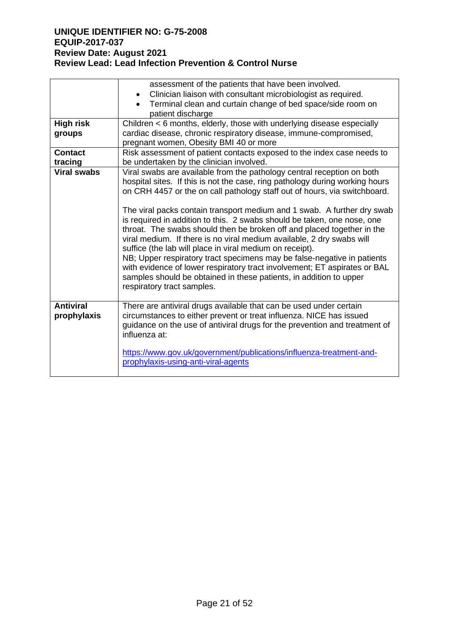|                                 | assessment of the patients that have been involved.                                                                                                                                                                                                                                                                                                                                                                                                                                                                                                                                                                                                                                                                                                                                                                                                                  |
|---------------------------------|----------------------------------------------------------------------------------------------------------------------------------------------------------------------------------------------------------------------------------------------------------------------------------------------------------------------------------------------------------------------------------------------------------------------------------------------------------------------------------------------------------------------------------------------------------------------------------------------------------------------------------------------------------------------------------------------------------------------------------------------------------------------------------------------------------------------------------------------------------------------|
|                                 | Clinician liaison with consultant microbiologist as required.                                                                                                                                                                                                                                                                                                                                                                                                                                                                                                                                                                                                                                                                                                                                                                                                        |
|                                 | Terminal clean and curtain change of bed space/side room on<br>patient discharge                                                                                                                                                                                                                                                                                                                                                                                                                                                                                                                                                                                                                                                                                                                                                                                     |
| <b>High risk</b>                | Children < 6 months, elderly, those with underlying disease especially                                                                                                                                                                                                                                                                                                                                                                                                                                                                                                                                                                                                                                                                                                                                                                                               |
| groups                          | cardiac disease, chronic respiratory disease, immune-compromised,                                                                                                                                                                                                                                                                                                                                                                                                                                                                                                                                                                                                                                                                                                                                                                                                    |
|                                 | pregnant women, Obesity BMI 40 or more                                                                                                                                                                                                                                                                                                                                                                                                                                                                                                                                                                                                                                                                                                                                                                                                                               |
| <b>Contact</b>                  | Risk assessment of patient contacts exposed to the index case needs to                                                                                                                                                                                                                                                                                                                                                                                                                                                                                                                                                                                                                                                                                                                                                                                               |
| tracing                         | be undertaken by the clinician involved.                                                                                                                                                                                                                                                                                                                                                                                                                                                                                                                                                                                                                                                                                                                                                                                                                             |
| <b>Viral swabs</b>              | Viral swabs are available from the pathology central reception on both<br>hospital sites. If this is not the case, ring pathology during working hours<br>on CRH 4457 or the on call pathology staff out of hours, via switchboard.<br>The viral packs contain transport medium and 1 swab. A further dry swab<br>is required in addition to this. 2 swabs should be taken, one nose, one<br>throat. The swabs should then be broken off and placed together in the<br>viral medium. If there is no viral medium available, 2 dry swabs will<br>suffice (the lab will place in viral medium on receipt).<br>NB; Upper respiratory tract specimens may be false-negative in patients<br>with evidence of lower respiratory tract involvement; ET aspirates or BAL<br>samples should be obtained in these patients, in addition to upper<br>respiratory tract samples. |
| <b>Antiviral</b><br>prophylaxis | There are antiviral drugs available that can be used under certain<br>circumstances to either prevent or treat influenza. NICE has issued<br>guidance on the use of antiviral drugs for the prevention and treatment of<br>influenza at:<br>https://www.gov.uk/government/publications/influenza-treatment-and-<br>prophylaxis-using-anti-viral-agents                                                                                                                                                                                                                                                                                                                                                                                                                                                                                                               |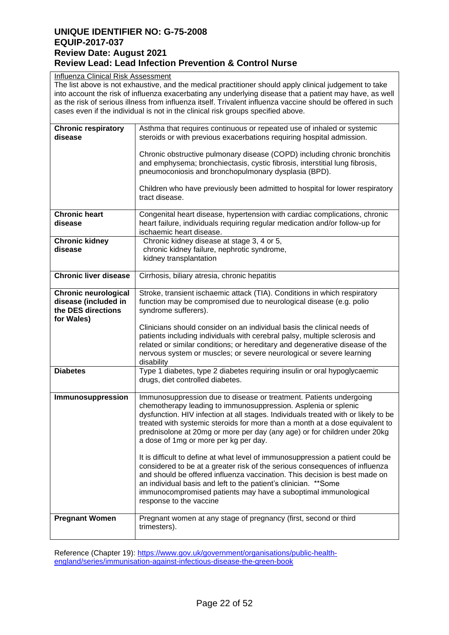#### Influenza Clinical Risk Assessment

The list above is not exhaustive, and the medical practitioner should apply clinical judgement to take into account the risk of influenza exacerbating any underlying disease that a patient may have, as well as the risk of serious illness from influenza itself. Trivalent influenza vaccine should be offered in such cases even if the individual is not in the clinical risk groups specified above.

| <b>Chronic respiratory</b><br>disease                                                   | Asthma that requires continuous or repeated use of inhaled or systemic<br>steroids or with previous exacerbations requiring hospital admission.                                                                                                                                                                                                                                                                                  |
|-----------------------------------------------------------------------------------------|----------------------------------------------------------------------------------------------------------------------------------------------------------------------------------------------------------------------------------------------------------------------------------------------------------------------------------------------------------------------------------------------------------------------------------|
|                                                                                         |                                                                                                                                                                                                                                                                                                                                                                                                                                  |
|                                                                                         | Chronic obstructive pulmonary disease (COPD) including chronic bronchitis<br>and emphysema; bronchiectasis, cystic fibrosis, interstitial lung fibrosis,<br>pneumoconiosis and bronchopulmonary dysplasia (BPD).                                                                                                                                                                                                                 |
|                                                                                         | Children who have previously been admitted to hospital for lower respiratory<br>tract disease.                                                                                                                                                                                                                                                                                                                                   |
| <b>Chronic heart</b><br>disease                                                         | Congenital heart disease, hypertension with cardiac complications, chronic<br>heart failure, individuals requiring regular medication and/or follow-up for<br>ischaemic heart disease.                                                                                                                                                                                                                                           |
| <b>Chronic kidney</b><br>disease                                                        | Chronic kidney disease at stage 3, 4 or 5,<br>chronic kidney failure, nephrotic syndrome,<br>kidney transplantation                                                                                                                                                                                                                                                                                                              |
| <b>Chronic liver disease</b>                                                            | Cirrhosis, biliary atresia, chronic hepatitis                                                                                                                                                                                                                                                                                                                                                                                    |
| <b>Chronic neurological</b><br>disease (included in<br>the DES directions<br>for Wales) | Stroke, transient ischaemic attack (TIA). Conditions in which respiratory<br>function may be compromised due to neurological disease (e.g. polio<br>syndrome sufferers).                                                                                                                                                                                                                                                         |
|                                                                                         | Clinicians should consider on an individual basis the clinical needs of<br>patients including individuals with cerebral palsy, multiple sclerosis and<br>related or similar conditions; or hereditary and degenerative disease of the<br>nervous system or muscles; or severe neurological or severe learning<br>disability                                                                                                      |
| <b>Diabetes</b>                                                                         | Type 1 diabetes, type 2 diabetes requiring insulin or oral hypoglycaemic<br>drugs, diet controlled diabetes.                                                                                                                                                                                                                                                                                                                     |
| Immunosuppression                                                                       | Immunosuppression due to disease or treatment. Patients undergoing<br>chemotherapy leading to immunosuppression. Asplenia or splenic<br>dysfunction. HIV infection at all stages. Individuals treated with or likely to be<br>treated with systemic steroids for more than a month at a dose equivalent to<br>prednisolone at 20mg or more per day (any age) or for children under 20kg<br>a dose of 1mg or more per kg per day. |
|                                                                                         | It is difficult to define at what level of immunosuppression a patient could be<br>considered to be at a greater risk of the serious consequences of influenza<br>and should be offered influenza vaccination. This decision is best made on<br>an individual basis and left to the patient's clinician. ** Some<br>immunocompromised patients may have a suboptimal immunological<br>response to the vaccine                    |
| <b>Pregnant Women</b>                                                                   | Pregnant women at any stage of pregnancy (first, second or third<br>trimesters).                                                                                                                                                                                                                                                                                                                                                 |

Reference (Chapter 19): [https://www.gov.uk/government/organisations/public-health](https://www.gov.uk/government/organisations/public-health-england/series/immunisation-against-infectious-disease-the-green-book)[england/series/immunisation-against-infectious-disease-the-green-book](https://www.gov.uk/government/organisations/public-health-england/series/immunisation-against-infectious-disease-the-green-book)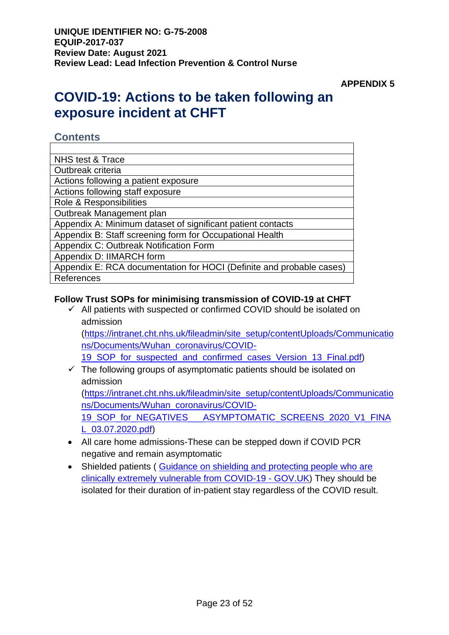**APPENDIX 5**

# **COVID-19: Actions to be taken following an exposure incident at CHFT**

### **Contents**

| NHS test & Trace                                                     |
|----------------------------------------------------------------------|
| Outbreak criteria                                                    |
| Actions following a patient exposure                                 |
| Actions following staff exposure                                     |
| Role & Responsibilities                                              |
| Outbreak Management plan                                             |
| Appendix A: Minimum dataset of significant patient contacts          |
| Appendix B: Staff screening form for Occupational Health             |
| Appendix C: Outbreak Notification Form                               |
| Appendix D: IIMARCH form                                             |
| Appendix E: RCA documentation for HOCI (Definite and probable cases) |
| References                                                           |

### **Follow Trust SOPs for minimising transmission of COVID-19 at CHFT**

 $\checkmark$  All patients with suspected or confirmed COVID should be isolated on admission

[\(https://intranet.cht.nhs.uk/fileadmin/site\\_setup/contentUploads/Communicatio](https://intranet.cht.nhs.uk/fileadmin/site_setup/contentUploads/Communications/Documents/Wuhan_coronavirus/COVID-19_SOP_for_suspected_and_confirmed_cases_Version_13_Final.pdf) [ns/Documents/Wuhan\\_coronavirus/COVID-](https://intranet.cht.nhs.uk/fileadmin/site_setup/contentUploads/Communications/Documents/Wuhan_coronavirus/COVID-19_SOP_for_suspected_and_confirmed_cases_Version_13_Final.pdf)

19 SOP for suspected and confirmed cases Version 13 Final.pdf)

 $\checkmark$  The following groups of asymptomatic patients should be isolated on admission

[\(https://intranet.cht.nhs.uk/fileadmin/site\\_setup/contentUploads/Communicatio](https://intranet.cht.nhs.uk/fileadmin/site_setup/contentUploads/Communications/Documents/Wuhan_coronavirus/COVID-19_SOP_for_NEGATIVES___ASYMPTOMATIC_SCREENS_2020_V1_FINAL_03.07.2020.pdf) [ns/Documents/Wuhan\\_coronavirus/COVID-](https://intranet.cht.nhs.uk/fileadmin/site_setup/contentUploads/Communications/Documents/Wuhan_coronavirus/COVID-19_SOP_for_NEGATIVES___ASYMPTOMATIC_SCREENS_2020_V1_FINAL_03.07.2020.pdf)

19\_SOP\_for\_NEGATIVES\_\_\_\_ASYMPTOMATIC\_SCREENS\_2020\_V1\_FINA [L\\_03.07.2020.pdf\)](https://intranet.cht.nhs.uk/fileadmin/site_setup/contentUploads/Communications/Documents/Wuhan_coronavirus/COVID-19_SOP_for_NEGATIVES___ASYMPTOMATIC_SCREENS_2020_V1_FINAL_03.07.2020.pdf)

- All care home admissions-These can be stepped down if COVID PCR negative and remain asymptomatic
- Shielded patients (Guidance on shielding and protecting people who are [clinically extremely vulnerable from COVID-19 -](https://www.gov.uk/government/publications/guidance-on-shielding-and-protecting-extremely-vulnerable-persons-from-covid-19/guidance-on-shielding-and-protecting-extremely-vulnerable-persons-from-covid-19) GOV.UK) They should be isolated for their duration of in-patient stay regardless of the COVID result.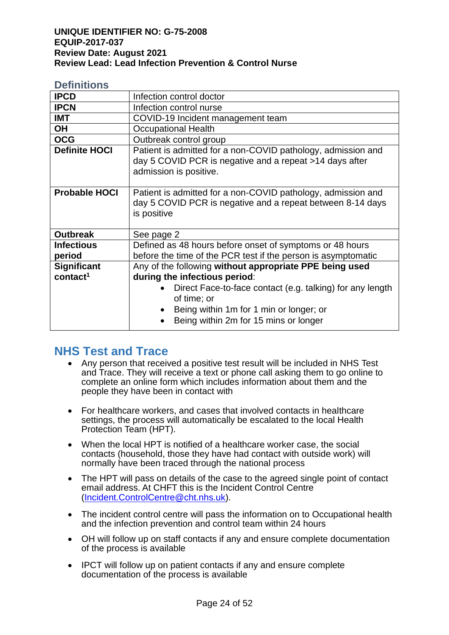#### **Definitions**

| <b>IPCD</b>          | Infection control doctor                                                                                                                                     |  |  |
|----------------------|--------------------------------------------------------------------------------------------------------------------------------------------------------------|--|--|
| <b>IPCN</b>          | Infection control nurse                                                                                                                                      |  |  |
| <b>IMT</b>           | COVID-19 Incident management team                                                                                                                            |  |  |
| <b>OH</b>            | <b>Occupational Health</b>                                                                                                                                   |  |  |
| <b>OCG</b>           | Outbreak control group                                                                                                                                       |  |  |
| <b>Definite HOCI</b> | Patient is admitted for a non-COVID pathology, admission and<br>day 5 COVID PCR is negative and a repeat >14 days after<br>admission is positive.            |  |  |
| <b>Probable HOCI</b> | Patient is admitted for a non-COVID pathology, admission and<br>day 5 COVID PCR is negative and a repeat between 8-14 days<br>is positive                    |  |  |
| <b>Outbreak</b>      | See page 2                                                                                                                                                   |  |  |
| <b>Infectious</b>    | Defined as 48 hours before onset of symptoms or 48 hours                                                                                                     |  |  |
| period               | before the time of the PCR test if the person is asymptomatic                                                                                                |  |  |
| <b>Significant</b>   | Any of the following without appropriate PPE being used                                                                                                      |  |  |
| contact <sup>1</sup> | during the infectious period:                                                                                                                                |  |  |
|                      | Direct Face-to-face contact (e.g. talking) for any length<br>of time; or<br>Being within 1m for 1 min or longer; or<br>Being within 2m for 15 mins or longer |  |  |

# **NHS Test and Trace**

- Any person that received a positive test result will be included in NHS Test and Trace. They will receive a text or phone call asking them to go online to complete an online form which includes information about them and the people they have been in contact with
- For healthcare workers, and cases that involved contacts in healthcare settings, the process will automatically be escalated to the local Health Protection Team (HPT).
- When the local HPT is notified of a healthcare worker case, the social contacts (household, those they have had contact with outside work) will normally have been traced through the national process
- The HPT will pass on details of the case to the agreed single point of contact email address. At CHFT this is the Incident Control Centre [\(Incident.ControlCentre@cht.nhs.uk\)](mailto:Incident.ControlCentre@cht.nhs.uk).
- The incident control centre will pass the information on to Occupational health and the infection prevention and control team within 24 hours
- OH will follow up on staff contacts if any and ensure complete documentation of the process is available
- IPCT will follow up on patient contacts if any and ensure complete documentation of the process is available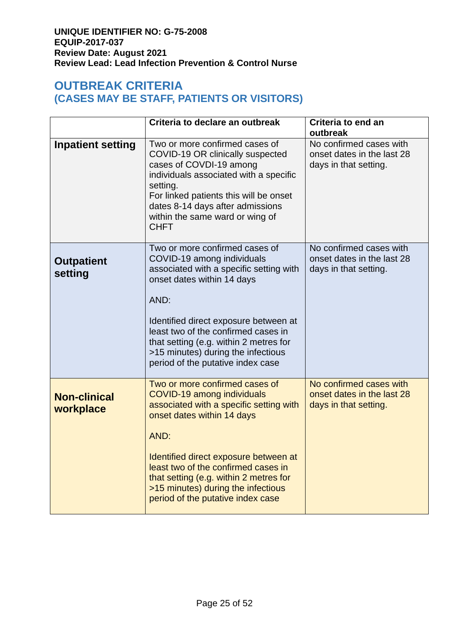# **OUTBREAK CRITERIA (CASES MAY BE STAFF, PATIENTS OR VISITORS)**

|                                  | Criteria to declare an outbreak                                                                                                                                                                                                                                                                                                                    | Criteria to end an<br>outbreak                                                 |
|----------------------------------|----------------------------------------------------------------------------------------------------------------------------------------------------------------------------------------------------------------------------------------------------------------------------------------------------------------------------------------------------|--------------------------------------------------------------------------------|
| <b>Inpatient setting</b>         | Two or more confirmed cases of<br>COVID-19 OR clinically suspected<br>cases of COVDI-19 among<br>individuals associated with a specific<br>setting.<br>For linked patients this will be onset<br>dates 8-14 days after admissions<br>within the same ward or wing of<br><b>CHFT</b>                                                                | No confirmed cases with<br>onset dates in the last 28<br>days in that setting. |
| <b>Outpatient</b><br>setting     | Two or more confirmed cases of<br>COVID-19 among individuals<br>associated with a specific setting with<br>onset dates within 14 days<br>AND:<br>Identified direct exposure between at<br>least two of the confirmed cases in<br>that setting (e.g. within 2 metres for<br>>15 minutes) during the infectious<br>period of the putative index case | No confirmed cases with<br>onset dates in the last 28<br>days in that setting. |
| <b>Non-clinical</b><br>workplace | Two or more confirmed cases of<br>COVID-19 among individuals<br>associated with a specific setting with<br>onset dates within 14 days<br>AND:<br>Identified direct exposure between at<br>least two of the confirmed cases in<br>that setting (e.g. within 2 metres for<br>>15 minutes) during the infectious<br>period of the putative index case | No confirmed cases with<br>onset dates in the last 28<br>days in that setting. |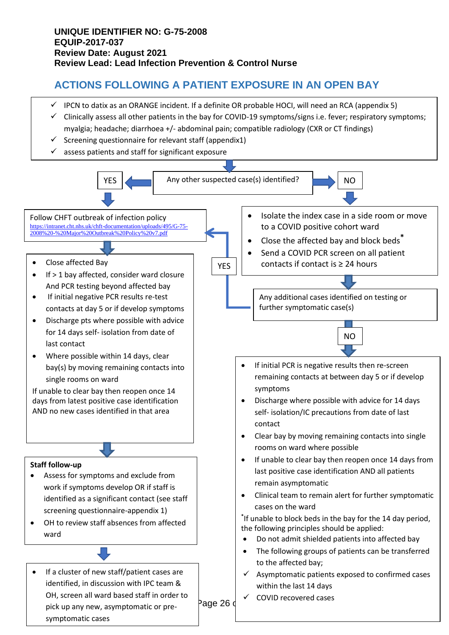# **ACTIONS FOLLOWING A PATIENT EXPOSURE IN AN OPEN BAY**

- $\checkmark$  IPCN to datix as an ORANGE incident. If a definite OR probable HOCI, will need an RCA (appendix 5)
- ✓ Clinically assess all other patients in the bay for COVID-19 symptoms/signs i.e. fever; respiratory symptoms; myalgia; headache; diarrhoea +/- abdominal pain; compatible radiology (CXR or CT findings)
- $\checkmark$  Screening questionnaire for relevant staff (appendix1)
- $\checkmark$  assess patients and staff for significant exposure

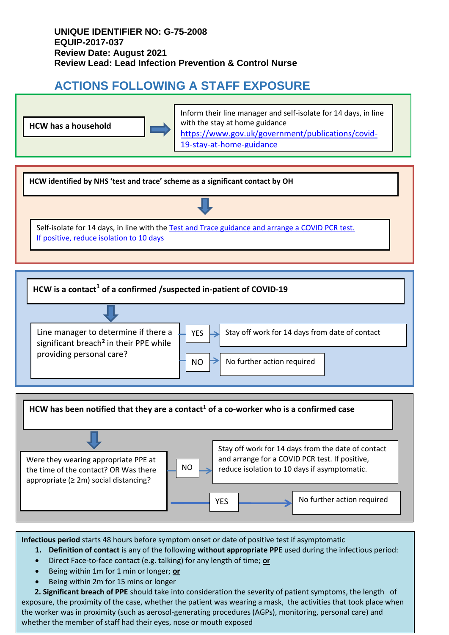# **ACTIONS FOLLOWING A STAFF EXPOSURE**





**HCW is a contact<sup>1</sup> of a confirmed /suspected in-patient of COVID-19** 





**Infectious period** starts 48 hours before symptom onset or date of positive test if asymptomatic

- **1. Definition of contact** is any of the following **without appropriate PPE** used during the infectious period:
- Direct Face-to-face contact (e.g. talking) for any length of time; **or**
- Being within 1m for 1 min or longer; **or**
- Being within 2m for 15 mins or longer

exposure, the proximity of the case, whether the patient was wearing a mask, the activities that took place when  **2. Significant breach of PPE** should take into consideration the severity of patient symptoms, the length of the worker was in proximity (such as aerosol-generating procedures (AGPs), monitoring, personal care) and whether the member of staff had their eyes, nose or mouth exposed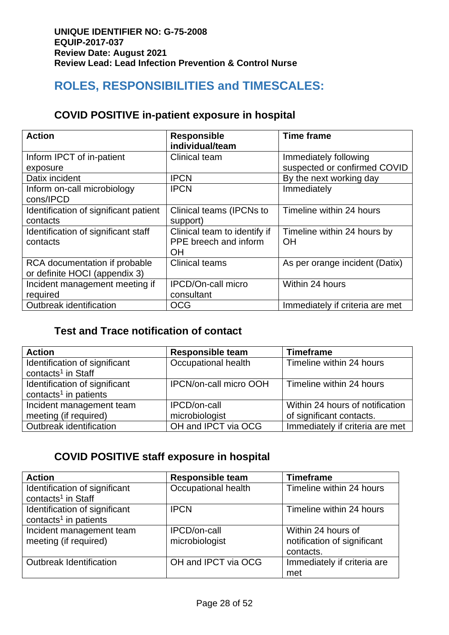# **ROLES, RESPONSIBILITIES and TIMESCALES:**

# **COVID POSITIVE in-patient exposure in hospital**

| <b>Action</b>                                                  | <b>Responsible</b><br>individual/team                       | <b>Time frame</b>                                     |
|----------------------------------------------------------------|-------------------------------------------------------------|-------------------------------------------------------|
| Inform IPCT of in-patient<br>exposure                          | <b>Clinical team</b>                                        | Immediately following<br>suspected or confirmed COVID |
| Datix incident                                                 | <b>IPCN</b>                                                 | By the next working day                               |
| Inform on-call microbiology<br>cons/IPCD                       | <b>IPCN</b>                                                 | Immediately                                           |
| Identification of significant patient<br>contacts              | Clinical teams (IPCNs to<br>support)                        | Timeline within 24 hours                              |
| Identification of significant staff<br>contacts                | Clinical team to identify if<br>PPE breech and inform<br>ΟH | Timeline within 24 hours by<br><b>OH</b>              |
| RCA documentation if probable<br>or definite HOCI (appendix 3) | <b>Clinical teams</b>                                       | As per orange incident (Datix)                        |
| Incident management meeting if<br>required                     | <b>IPCD/On-call micro</b><br>consultant                     | Within 24 hours                                       |
| Outbreak identification                                        | <b>OCG</b>                                                  | Immediately if criteria are met                       |

# **Test and Trace notification of contact**

| <b>Action</b>                     | <b>Responsible team</b>       | <b>Timeframe</b>                |
|-----------------------------------|-------------------------------|---------------------------------|
| Identification of significant     | Occupational health           | Timeline within 24 hours        |
| contacts <sup>1</sup> in Staff    |                               |                                 |
| Identification of significant     | <b>IPCN/on-call micro OOH</b> | Timeline within 24 hours        |
| contacts <sup>1</sup> in patients |                               |                                 |
| Incident management team          | <b>IPCD/on-call</b>           | Within 24 hours of notification |
| meeting (if required)             | microbiologist                | of significant contacts.        |
| Outbreak identification           | OH and IPCT via OCG           | Immediately if criteria are met |

# **COVID POSITIVE staff exposure in hospital**

| <b>Action</b>                                                      | <b>Responsible team</b> | <b>Timeframe</b>            |
|--------------------------------------------------------------------|-------------------------|-----------------------------|
| Identification of significant<br>contacts <sup>1</sup> in Staff    | Occupational health     | Timeline within 24 hours    |
| Identification of significant<br>contacts <sup>1</sup> in patients | <b>IPCN</b>             | Timeline within 24 hours    |
| Incident management team                                           | <b>IPCD/on-call</b>     | Within 24 hours of          |
| meeting (if required)                                              | microbiologist          | notification of significant |
|                                                                    |                         | contacts.                   |
| <b>Outbreak Identification</b>                                     | OH and IPCT via OCG     | Immediately if criteria are |
|                                                                    |                         | met                         |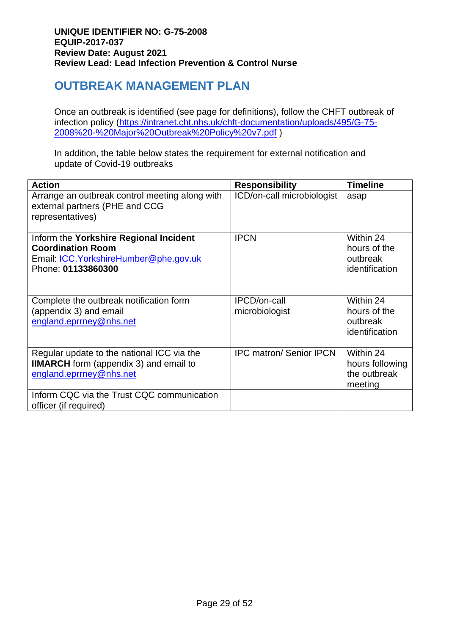# **OUTBREAK MANAGEMENT PLAN**

Once an outbreak is identified (see page for definitions), follow the CHFT outbreak of infection policy [\(https://intranet.cht.nhs.uk/chft-documentation/uploads/495/G-75-](https://intranet.cht.nhs.uk/chft-documentation/uploads/495/G-75-2008%20-%20Major%20Outbreak%20Policy%20v7.pdf) [2008%20-%20Major%20Outbreak%20Policy%20v7.pdf](https://intranet.cht.nhs.uk/chft-documentation/uploads/495/G-75-2008%20-%20Major%20Outbreak%20Policy%20v7.pdf) )

In addition, the table below states the requirement for external notification and update of Covid-19 outbreaks

| <b>Action</b>                                                                                                                       | <b>Responsibility</b>          | <b>Timeline</b>                                         |
|-------------------------------------------------------------------------------------------------------------------------------------|--------------------------------|---------------------------------------------------------|
| Arrange an outbreak control meeting along with<br>external partners (PHE and CCG<br>representatives)                                | ICD/on-call microbiologist     | asap                                                    |
| Inform the Yorkshire Regional Incident<br><b>Coordination Room</b><br>Email: ICC. Yorkshire Humber@phe.gov.uk<br>Phone: 01133860300 | <b>IPCN</b>                    | Within 24<br>hours of the<br>outbreak<br>identification |
| Complete the outbreak notification form<br>(appendix 3) and email<br>england.eprrney@nhs.net                                        | IPCD/on-call<br>microbiologist | Within 24<br>hours of the<br>outbreak<br>identification |
| Regular update to the national ICC via the<br><b>IIMARCH</b> form (appendix 3) and email to<br>england.eprrney@nhs.net              | <b>IPC matron/ Senior IPCN</b> | Within 24<br>hours following<br>the outbreak<br>meeting |
| Inform CQC via the Trust CQC communication<br>officer (if required)                                                                 |                                |                                                         |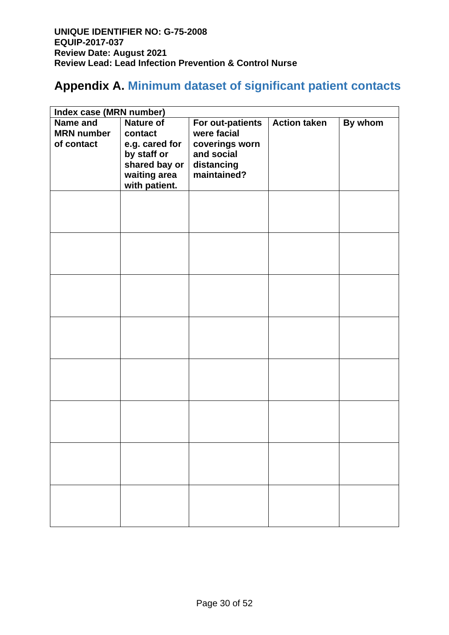# **Appendix A. Minimum dataset of significant patient contacts**

| Index case (MRN number)                            |                                                                                                                |                                                                                              |                     |         |
|----------------------------------------------------|----------------------------------------------------------------------------------------------------------------|----------------------------------------------------------------------------------------------|---------------------|---------|
| <b>Name and</b><br><b>MRN</b> number<br>of contact | <b>Nature of</b><br>contact<br>e.g. cared for<br>by staff or<br>shared bay or<br>waiting area<br>with patient. | For out-patients<br>were facial<br>coverings worn<br>and social<br>distancing<br>maintained? | <b>Action taken</b> | By whom |
|                                                    |                                                                                                                |                                                                                              |                     |         |
|                                                    |                                                                                                                |                                                                                              |                     |         |
|                                                    |                                                                                                                |                                                                                              |                     |         |
|                                                    |                                                                                                                |                                                                                              |                     |         |
|                                                    |                                                                                                                |                                                                                              |                     |         |
|                                                    |                                                                                                                |                                                                                              |                     |         |
|                                                    |                                                                                                                |                                                                                              |                     |         |
|                                                    |                                                                                                                |                                                                                              |                     |         |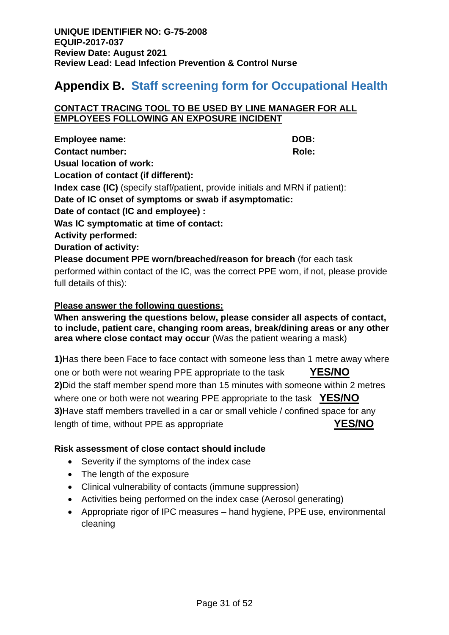# **Appendix B. Staff screening form for Occupational Health**

#### **CONTACT TRACING TOOL TO BE USED BY LINE MANAGER FOR ALL EMPLOYEES FOLLOWING AN EXPOSURE INCIDENT**

**Employee name:** DOB: **Contact number:**  $Role:$ **Usual location of work: Location of contact (if different): Index case (IC)** (specify staff/patient, provide initials and MRN if patient): **Date of IC onset of symptoms or swab if asymptomatic: Date of contact (IC and employee) : Was IC symptomatic at time of contact: Activity performed: Duration of activity: Please document PPE worn/breached/reason for breach** (for each task performed within contact of the IC, was the correct PPE worn, if not, please provide full details of this):

#### **Please answer the following questions:**

**When answering the questions below, please consider all aspects of contact, to include, patient care, changing room areas, break/dining areas or any other area where close contact may occur** (Was the patient wearing a mask)

**1)**Has there been Face to face contact with someone less than 1 metre away where one or both were not wearing PPE appropriate to the task **YES/NO 2)**Did the staff member spend more than 15 minutes with someone within 2 metres where one or both were not wearing PPE appropriate to the task **YES/NO 3)**Have staff members travelled in a car or small vehicle / confined space for any length of time, without PPE as appropriate **YES/NO**

#### **Risk assessment of close contact should include**

- Severity if the symptoms of the index case
- The length of the exposure
- Clinical vulnerability of contacts (immune suppression)
- Activities being performed on the index case (Aerosol generating)
- Appropriate rigor of IPC measures hand hygiene, PPE use, environmental cleaning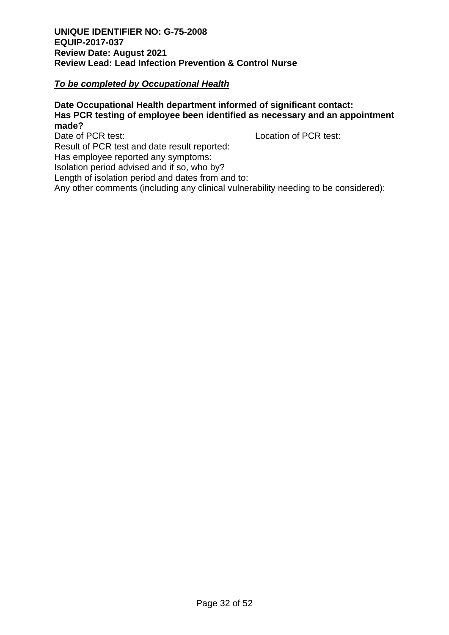#### *To be completed by Occupational Health*

#### **Date Occupational Health department informed of significant contact: Has PCR testing of employee been identified as necessary and an appointment made?**

Date of PCR test: Location of PCR test:

Result of PCR test and date result reported:

Has employee reported any symptoms:

Isolation period advised and if so, who by?

Length of isolation period and dates from and to:

Any other comments (including any clinical vulnerability needing to be considered):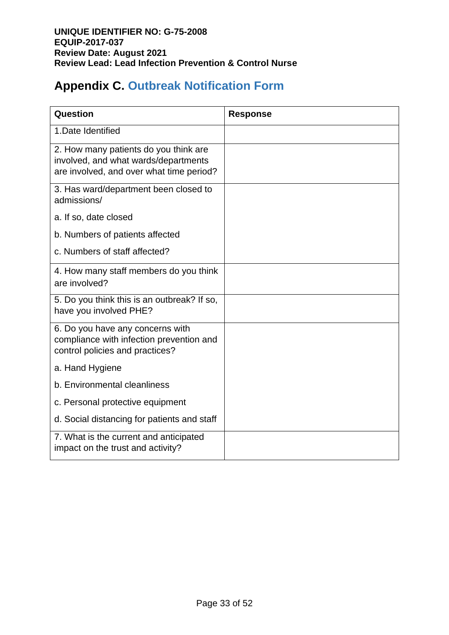# **Appendix C. Outbreak Notification Form**

| Question                                                                                                                  | <b>Response</b> |
|---------------------------------------------------------------------------------------------------------------------------|-----------------|
| 1. Date Identified                                                                                                        |                 |
| 2. How many patients do you think are<br>involved, and what wards/departments<br>are involved, and over what time period? |                 |
| 3. Has ward/department been closed to<br>admissions/                                                                      |                 |
| a. If so, date closed                                                                                                     |                 |
| b. Numbers of patients affected                                                                                           |                 |
| c. Numbers of staff affected?                                                                                             |                 |
| 4. How many staff members do you think<br>are involved?                                                                   |                 |
| 5. Do you think this is an outbreak? If so,<br>have you involved PHE?                                                     |                 |
| 6. Do you have any concerns with<br>compliance with infection prevention and<br>control policies and practices?           |                 |
| a. Hand Hygiene                                                                                                           |                 |
| b. Environmental cleanliness                                                                                              |                 |
| c. Personal protective equipment                                                                                          |                 |
| d. Social distancing for patients and staff                                                                               |                 |
| 7. What is the current and anticipated<br>impact on the trust and activity?                                               |                 |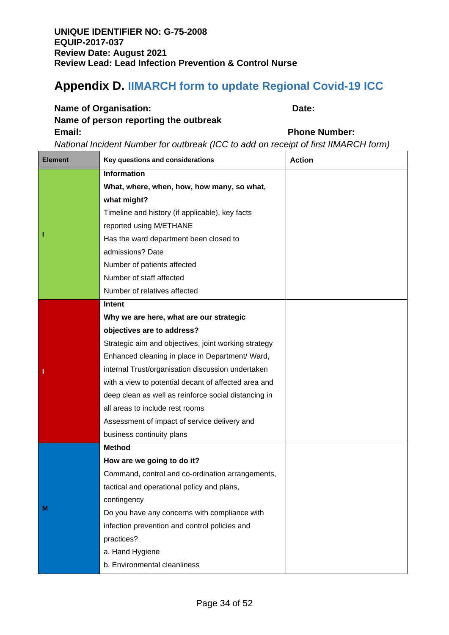# **Appendix D. IIMARCH form to update Regional Covid-19 ICC**

## **Name of Organisation:** Date:

# **Name of person reporting the outbreak Email: Phone Number:**

*National Incident Number for outbreak (ICC to add on receipt of first IIMARCH form)* 

| <b>Element</b> | Key questions and considerations                     | <b>Action</b> |
|----------------|------------------------------------------------------|---------------|
|                | <b>Information</b>                                   |               |
|                | What, where, when, how, how many, so what,           |               |
|                | what might?                                          |               |
|                | Timeline and history (if applicable), key facts      |               |
|                | reported using M/ETHANE                              |               |
|                | Has the ward department been closed to               |               |
|                | admissions? Date                                     |               |
|                | Number of patients affected                          |               |
|                | Number of staff affected                             |               |
|                | Number of relatives affected                         |               |
|                | Intent                                               |               |
|                | Why we are here, what are our strategic              |               |
|                | objectives are to address?                           |               |
|                | Strategic aim and objectives, joint working strategy |               |
|                | Enhanced cleaning in place in Department/ Ward,      |               |
| ı              | internal Trust/organisation discussion undertaken    |               |
|                | with a view to potential decant of affected area and |               |
|                | deep clean as well as reinforce social distancing in |               |
|                | all areas to include rest rooms                      |               |
|                | Assessment of impact of service delivery and         |               |
|                | business continuity plans                            |               |
|                | <b>Method</b>                                        |               |
|                | How are we going to do it?                           |               |
|                | Command, control and co-ordination arrangements,     |               |
|                | tactical and operational policy and plans,           |               |
|                | contingency                                          |               |
| M              | Do you have any concerns with compliance with        |               |
|                | infection prevention and control policies and        |               |
|                | practices?                                           |               |
|                | a. Hand Hygiene                                      |               |
|                | b. Environmental cleanliness                         |               |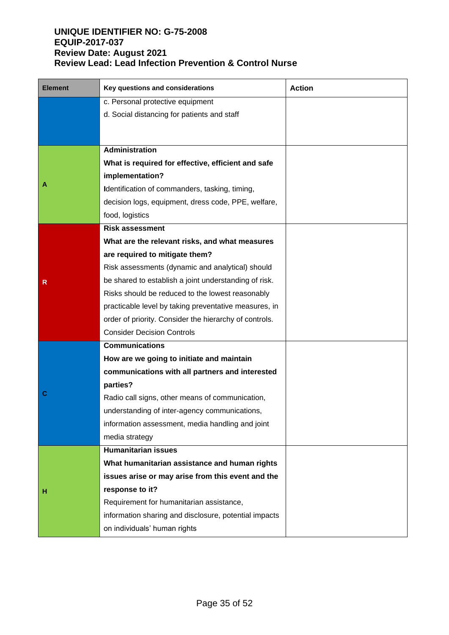| <b>Element</b> | Key questions and considerations                       | <b>Action</b> |
|----------------|--------------------------------------------------------|---------------|
|                | c. Personal protective equipment                       |               |
|                | d. Social distancing for patients and staff            |               |
|                |                                                        |               |
|                | Administration                                         |               |
|                | What is required for effective, efficient and safe     |               |
|                | implementation?                                        |               |
| Α              | Identification of commanders, tasking, timing,         |               |
|                | decision logs, equipment, dress code, PPE, welfare,    |               |
|                | food, logistics                                        |               |
|                | <b>Risk assessment</b>                                 |               |
|                | What are the relevant risks, and what measures         |               |
|                | are required to mitigate them?                         |               |
|                | Risk assessments (dynamic and analytical) should       |               |
| R              | be shared to establish a joint understanding of risk.  |               |
|                | Risks should be reduced to the lowest reasonably       |               |
|                | practicable level by taking preventative measures, in  |               |
|                | order of priority. Consider the hierarchy of controls. |               |
|                | <b>Consider Decision Controls</b>                      |               |
|                | <b>Communications</b>                                  |               |
|                | How are we going to initiate and maintain              |               |
|                | communications with all partners and interested        |               |
|                | parties?                                               |               |
| C              | Radio call signs, other means of communication,        |               |
|                | understanding of inter-agency communications,          |               |
|                | information assessment, media handling and joint       |               |
|                | media strategy                                         |               |
|                | <b>Humanitarian issues</b>                             |               |
|                | What humanitarian assistance and human rights          |               |
|                | issues arise or may arise from this event and the      |               |
| н              | response to it?                                        |               |
|                | Requirement for humanitarian assistance,               |               |
|                | information sharing and disclosure, potential impacts  |               |
|                | on individuals' human rights                           |               |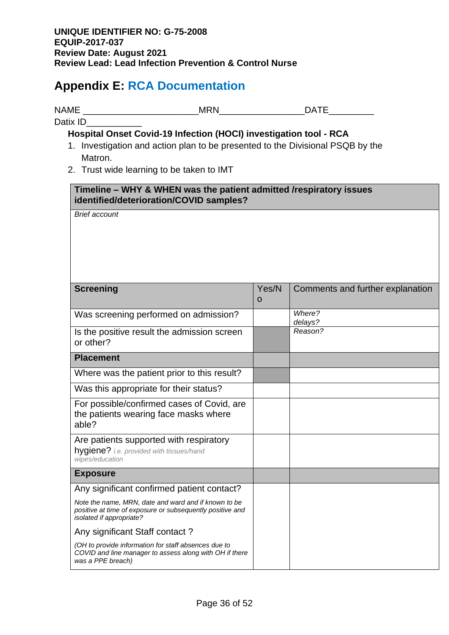# **Appendix E: RCA Documentation**

NAME \_\_\_\_\_\_\_\_\_\_\_\_\_\_\_\_\_\_\_\_\_\_\_MRN\_\_\_\_\_\_\_\_\_\_\_\_\_\_\_\_\_DATE\_\_\_\_\_\_\_\_\_

**Hospital Onset Covid-19 Infection (HOCI) investigation tool - RCA**

- 1. Investigation and action plan to be presented to the Divisional PSQB by the Matron.
- 2. Trust wide learning to be taken to IMT

#### **Timeline – WHY & WHEN was the patient admitted /respiratory issues identified/deterioration/COVID samples?**

*Brief account*

Datix ID

| <b>Screening</b>                                                                                                                              | Yes/N<br>$\mathbf 0$ | Comments and further explanation |
|-----------------------------------------------------------------------------------------------------------------------------------------------|----------------------|----------------------------------|
| Was screening performed on admission?                                                                                                         |                      | Where?<br>delays?                |
| Is the positive result the admission screen<br>or other?                                                                                      |                      | Reason?                          |
| <b>Placement</b>                                                                                                                              |                      |                                  |
| Where was the patient prior to this result?                                                                                                   |                      |                                  |
| Was this appropriate for their status?                                                                                                        |                      |                                  |
| For possible/confirmed cases of Covid, are<br>the patients wearing face masks where<br>able?                                                  |                      |                                  |
| Are patients supported with respiratory<br>hygiene? i.e. provided with tissues/hand<br>wipes/education                                        |                      |                                  |
| <b>Exposure</b>                                                                                                                               |                      |                                  |
| Any significant confirmed patient contact?                                                                                                    |                      |                                  |
| Note the name, MRN, date and ward and if known to be<br>positive at time of exposure or subsequently positive and<br>isolated if appropriate? |                      |                                  |
| Any significant Staff contact?                                                                                                                |                      |                                  |
| (OH to provide information for staff absences due to<br>COVID and line manager to assess along with OH if there<br>was a PPE breach)          |                      |                                  |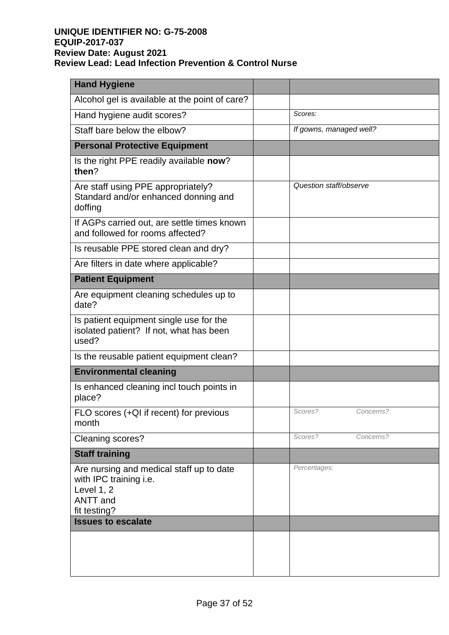| <b>Hand Hygiene</b>                                                                                                 |                         |
|---------------------------------------------------------------------------------------------------------------------|-------------------------|
| Alcohol gel is available at the point of care?                                                                      |                         |
| Hand hygiene audit scores?                                                                                          | Scores:                 |
| Staff bare below the elbow?                                                                                         | If gowns, managed well? |
| <b>Personal Protective Equipment</b>                                                                                |                         |
| Is the right PPE readily available now?<br>then?                                                                    |                         |
| Are staff using PPE appropriately?<br>Standard and/or enhanced donning and<br>doffing                               | Question staff/observe  |
| If AGPs carried out, are settle times known<br>and followed for rooms affected?                                     |                         |
| Is reusable PPE stored clean and dry?                                                                               |                         |
| Are filters in date where applicable?                                                                               |                         |
| <b>Patient Equipment</b>                                                                                            |                         |
| Are equipment cleaning schedules up to<br>date?                                                                     |                         |
| Is patient equipment single use for the<br>isolated patient? If not, what has been<br>used?                         |                         |
| Is the reusable patient equipment clean?                                                                            |                         |
| <b>Environmental cleaning</b>                                                                                       |                         |
| Is enhanced cleaning incl touch points in<br>place?                                                                 |                         |
| FLO scores (+QI if recent) for previous<br>month                                                                    | Scores?<br>Concerns?    |
| Cleaning scores?                                                                                                    | Scores?<br>Concerns?    |
| <b>Staff training</b>                                                                                               |                         |
| Are nursing and medical staff up to date<br>with IPC training i.e.<br>Level 1, 2<br><b>ANTT</b> and<br>fit testing? | Percentages:            |
| <b>Issues to escalate</b>                                                                                           |                         |
|                                                                                                                     |                         |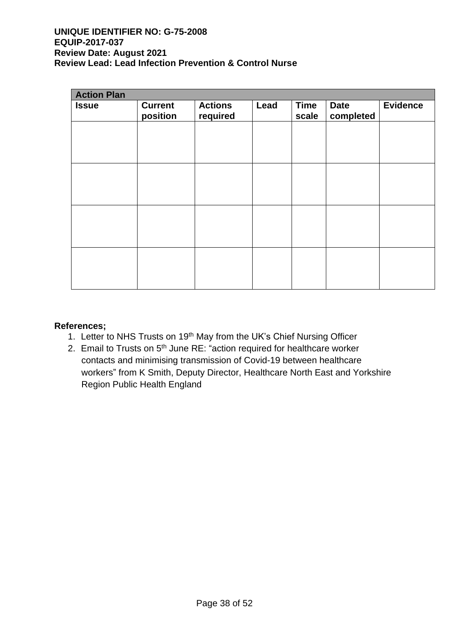| <b>Action Plan</b> |                            |                            |      |                      |                          |                 |
|--------------------|----------------------------|----------------------------|------|----------------------|--------------------------|-----------------|
| <b>Issue</b>       | <b>Current</b><br>position | <b>Actions</b><br>required | Lead | <b>Time</b><br>scale | <b>Date</b><br>completed | <b>Evidence</b> |
|                    |                            |                            |      |                      |                          |                 |
|                    |                            |                            |      |                      |                          |                 |
|                    |                            |                            |      |                      |                          |                 |
|                    |                            |                            |      |                      |                          |                 |
|                    |                            |                            |      |                      |                          |                 |
|                    |                            |                            |      |                      |                          |                 |
|                    |                            |                            |      |                      |                          |                 |
|                    |                            |                            |      |                      |                          |                 |

#### **References;**

- 1. Letter to NHS Trusts on 19<sup>th</sup> May from the UK's Chief Nursing Officer
- 2. Email to Trusts on 5<sup>th</sup> June RE: "action required for healthcare worker contacts and minimising transmission of Covid-19 between healthcare workers" from K Smith, Deputy Director, Healthcare North East and Yorkshire Region Public Health England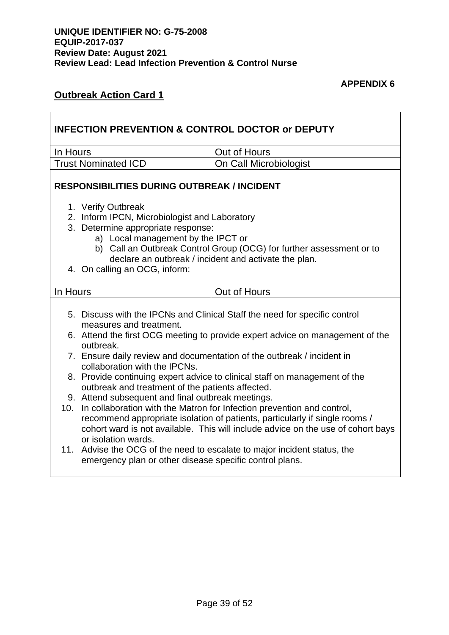#### **APPENDIX 6**

# **Outbreak Action Card 1**

|                                                                                                                                                                                                                                                                      | <b>INFECTION PREVENTION &amp; CONTROL DOCTOR or DEPUTY</b>                                                                                                                       |                                                                                                                               |  |  |
|----------------------------------------------------------------------------------------------------------------------------------------------------------------------------------------------------------------------------------------------------------------------|----------------------------------------------------------------------------------------------------------------------------------------------------------------------------------|-------------------------------------------------------------------------------------------------------------------------------|--|--|
| In Hours                                                                                                                                                                                                                                                             |                                                                                                                                                                                  | Out of Hours                                                                                                                  |  |  |
|                                                                                                                                                                                                                                                                      | <b>Trust Nominated ICD</b>                                                                                                                                                       | On Call Microbiologist                                                                                                        |  |  |
|                                                                                                                                                                                                                                                                      | <b>RESPONSIBILITIES DURING OUTBREAK / INCIDENT</b>                                                                                                                               |                                                                                                                               |  |  |
|                                                                                                                                                                                                                                                                      | 1. Verify Outbreak<br>2. Inform IPCN, Microbiologist and Laboratory<br>3. Determine appropriate response:<br>a) Local management by the IPCT or<br>4. On calling an OCG, inform: | b) Call an Outbreak Control Group (OCG) for further assessment or to<br>declare an outbreak / incident and activate the plan. |  |  |
| In Hours                                                                                                                                                                                                                                                             |                                                                                                                                                                                  | Out of Hours                                                                                                                  |  |  |
|                                                                                                                                                                                                                                                                      | measures and treatment.                                                                                                                                                          | 5. Discuss with the IPCNs and Clinical Staff the need for specific control                                                    |  |  |
|                                                                                                                                                                                                                                                                      | 6. Attend the first OCG meeting to provide expert advice on management of the<br>outbreak.                                                                                       |                                                                                                                               |  |  |
|                                                                                                                                                                                                                                                                      | 7. Ensure daily review and documentation of the outbreak / incident in<br>collaboration with the IPCNs.                                                                          |                                                                                                                               |  |  |
|                                                                                                                                                                                                                                                                      | 8. Provide continuing expert advice to clinical staff on management of the<br>outbreak and treatment of the patients affected.                                                   |                                                                                                                               |  |  |
|                                                                                                                                                                                                                                                                      | 9. Attend subsequent and final outbreak meetings.                                                                                                                                |                                                                                                                               |  |  |
| 10. In collaboration with the Matron for Infection prevention and control,<br>recommend appropriate isolation of patients, particularly if single rooms /<br>cohort ward is not available. This will include advice on the use of cohort bays<br>or isolation wards. |                                                                                                                                                                                  |                                                                                                                               |  |  |
|                                                                                                                                                                                                                                                                      | emergency plan or other disease specific control plans.                                                                                                                          | 11. Advise the OCG of the need to escalate to major incident status, the                                                      |  |  |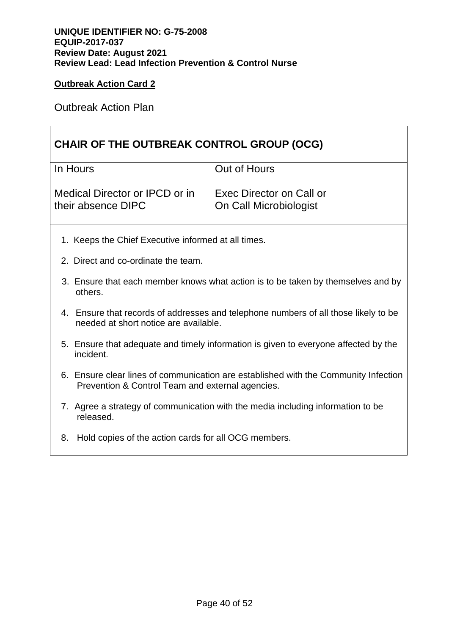Outbreak Action Plan

# **CHAIR OF THE OUTBREAK CONTROL GROUP (OCG)**

| In Hours                       | Out of Hours             |
|--------------------------------|--------------------------|
| Medical Director or IPCD or in | Exec Director on Call or |
| their absence DIPC             | On Call Microbiologist   |

- 1. Keeps the Chief Executive informed at all times.
- 2. Direct and co-ordinate the team.
- 3. Ensure that each member knows what action is to be taken by themselves and by others.
- 4. Ensure that records of addresses and telephone numbers of all those likely to be needed at short notice are available.
- 5. Ensure that adequate and timely information is given to everyone affected by the incident.
- 6. Ensure clear lines of communication are established with the Community Infection Prevention & Control Team and external agencies.
- 7. Agree a strategy of communication with the media including information to be released.
- 8. Hold copies of the action cards for all OCG members.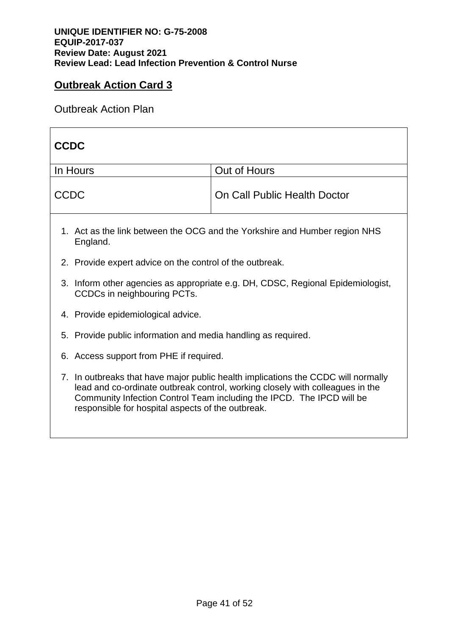Outbreak Action Plan

| <b>CCDC</b>                                                                                                                                                                                                                                                                                      |              |  |  |
|--------------------------------------------------------------------------------------------------------------------------------------------------------------------------------------------------------------------------------------------------------------------------------------------------|--------------|--|--|
| In Hours                                                                                                                                                                                                                                                                                         | Out of Hours |  |  |
| <b>CCDC</b><br>On Call Public Health Doctor                                                                                                                                                                                                                                                      |              |  |  |
| 1. Act as the link between the OCG and the Yorkshire and Humber region NHS<br>England.                                                                                                                                                                                                           |              |  |  |
| 2. Provide expert advice on the control of the outbreak.                                                                                                                                                                                                                                         |              |  |  |
| 3. Inform other agencies as appropriate e.g. DH, CDSC, Regional Epidemiologist,<br>CCDCs in neighbouring PCTs.                                                                                                                                                                                   |              |  |  |
| 4. Provide epidemiological advice.                                                                                                                                                                                                                                                               |              |  |  |
| 5. Provide public information and media handling as required.                                                                                                                                                                                                                                    |              |  |  |
| 6. Access support from PHE if required.                                                                                                                                                                                                                                                          |              |  |  |
| 7. In outbreaks that have major public health implications the CCDC will normally<br>lead and co-ordinate outbreak control, working closely with colleagues in the<br>Community Infection Control Team including the IPCD. The IPCD will be<br>responsible for hospital aspects of the outbreak. |              |  |  |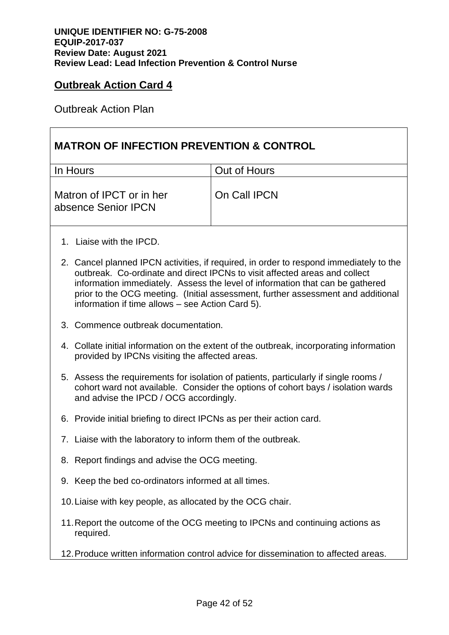Outbreak Action Plan

## **MATRON OF INFECTION PREVENTION & CONTROL**

| In Hours                                        | Out of Hours |
|-------------------------------------------------|--------------|
| Matron of IPCT or in her<br>absence Senior IPCN | On Call IPCN |

- 1. Liaise with the IPCD.
- 2. Cancel planned IPCN activities, if required, in order to respond immediately to the outbreak. Co-ordinate and direct IPCNs to visit affected areas and collect information immediately. Assess the level of information that can be gathered prior to the OCG meeting. (Initial assessment, further assessment and additional information if time allows – see Action Card 5).
- 3. Commence outbreak documentation.
- 4. Collate initial information on the extent of the outbreak, incorporating information provided by IPCNs visiting the affected areas.
- 5. Assess the requirements for isolation of patients, particularly if single rooms / cohort ward not available. Consider the options of cohort bays / isolation wards and advise the IPCD / OCG accordingly.
- 6. Provide initial briefing to direct IPCNs as per their action card.
- 7. Liaise with the laboratory to inform them of the outbreak.
- 8. Report findings and advise the OCG meeting.
- 9. Keep the bed co-ordinators informed at all times.
- 10.Liaise with key people, as allocated by the OCG chair.
- 11.Report the outcome of the OCG meeting to IPCNs and continuing actions as required.
- 12.Produce written information control advice for dissemination to affected areas.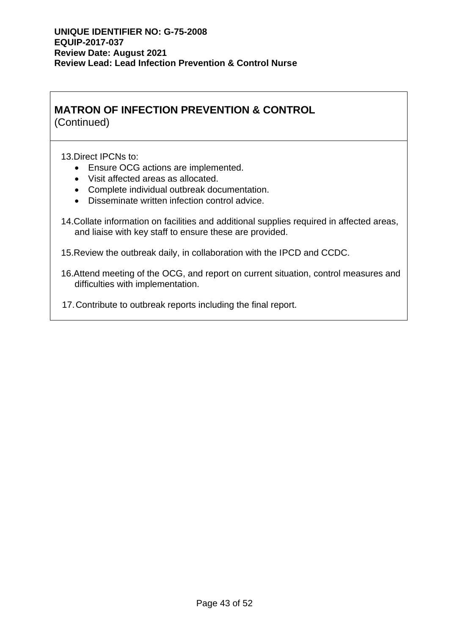# **MATRON OF INFECTION PREVENTION & CONTROL**

(Continued)

13.Direct IPCNs to:

- Ensure OCG actions are implemented.
- Visit affected areas as allocated.
- Complete individual outbreak documentation.
- Disseminate written infection control advice.
- 14.Collate information on facilities and additional supplies required in affected areas, and liaise with key staff to ensure these are provided.
- 15.Review the outbreak daily, in collaboration with the IPCD and CCDC.
- 16.Attend meeting of the OCG, and report on current situation, control measures and difficulties with implementation.
- 17.Contribute to outbreak reports including the final report.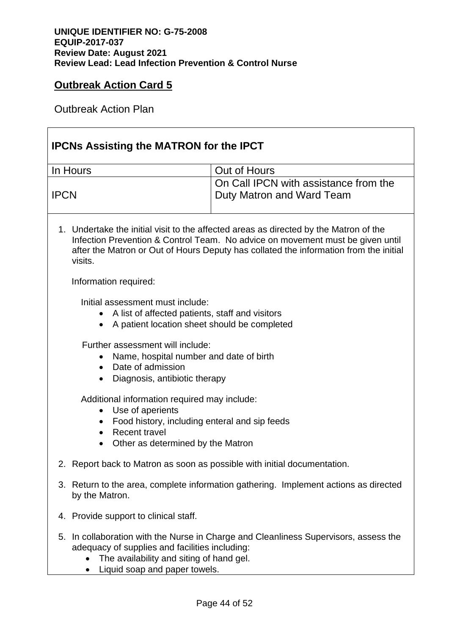Outbreak Action Plan

| <b>IPCNs Assisting the MATRON for the IPCT</b>                                                                                                                                                                                                                              |                                                                    |  |
|-----------------------------------------------------------------------------------------------------------------------------------------------------------------------------------------------------------------------------------------------------------------------------|--------------------------------------------------------------------|--|
| In Hours                                                                                                                                                                                                                                                                    | Out of Hours                                                       |  |
| <b>IPCN</b>                                                                                                                                                                                                                                                                 | On Call IPCN with assistance from the<br>Duty Matron and Ward Team |  |
| 1. Undertake the initial visit to the affected areas as directed by the Matron of the<br>Infection Prevention & Control Team. No advice on movement must be given until<br>after the Matron or Out of Hours Deputy has collated the information from the initial<br>visits. |                                                                    |  |
| Information required:                                                                                                                                                                                                                                                       |                                                                    |  |
| Initial assessment must include:<br>A list of affected patients, staff and visitors<br>A patient location sheet should be completed<br>$\bullet$                                                                                                                            |                                                                    |  |
| Further assessment will include:<br>Name, hospital number and date of birth<br>Date of admission<br>$\bullet$<br>Diagnosis, antibiotic therapy<br>$\bullet$                                                                                                                 |                                                                    |  |
| Additional information required may include:<br>Use of aperients<br>$\bullet$<br>Food history, including enteral and sip feeds<br>٠<br>Recent travel<br>Other as determined by the Matron<br>$\bullet$                                                                      |                                                                    |  |
| Report back to Matron as soon as possible with initial documentation.<br>2.                                                                                                                                                                                                 |                                                                    |  |
| 3. Return to the area, complete information gathering. Implement actions as directed<br>by the Matron.                                                                                                                                                                      |                                                                    |  |
| Provide support to clinical staff.<br>4.                                                                                                                                                                                                                                    |                                                                    |  |
| In collaboration with the Nurse in Charge and Cleanliness Supervisors, assess the<br>5.<br>adequacy of supplies and facilities including:<br>The availability and siting of hand gel.<br>Liquid soap and paper towels.                                                      |                                                                    |  |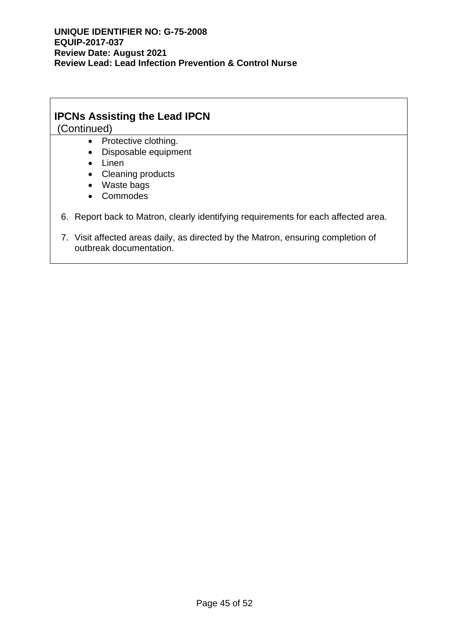# **IPCNs Assisting the Lead IPCN**

(Continued)

- Protective clothing.
- Disposable equipment
- Linen
- Cleaning products
- Waste bags
- Commodes

#### 6. Report back to Matron, clearly identifying requirements for each affected area.

7. Visit affected areas daily, as directed by the Matron, ensuring completion of outbreak documentation.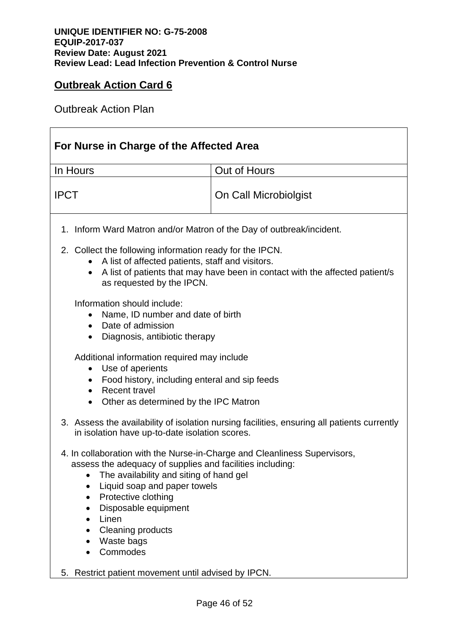Outbreak Action Plan

| For Nurse in Charge of the Affected Area                                                                                                                                                                                                                                                                                        |                                                                                             |  |
|---------------------------------------------------------------------------------------------------------------------------------------------------------------------------------------------------------------------------------------------------------------------------------------------------------------------------------|---------------------------------------------------------------------------------------------|--|
| In Hours                                                                                                                                                                                                                                                                                                                        | Out of Hours                                                                                |  |
| <b>IPCT</b>                                                                                                                                                                                                                                                                                                                     | On Call Microbiolgist                                                                       |  |
| 1. Inform Ward Matron and/or Matron of the Day of outbreak/incident.                                                                                                                                                                                                                                                            |                                                                                             |  |
| 2. Collect the following information ready for the IPCN.<br>A list of affected patients, staff and visitors.<br>$\bullet$<br>as requested by the IPCN.                                                                                                                                                                          | A list of patients that may have been in contact with the affected patient/s                |  |
| Information should include:<br>Name, ID number and date of birth<br>Date of admission<br>$\bullet$<br>Diagnosis, antibiotic therapy<br>$\bullet$                                                                                                                                                                                |                                                                                             |  |
| Additional information required may include<br>Use of aperients<br>$\bullet$<br>Food history, including enteral and sip feeds<br><b>Recent travel</b><br>$\bullet$<br>Other as determined by the IPC Matron                                                                                                                     |                                                                                             |  |
| in isolation have up-to-date isolation scores.                                                                                                                                                                                                                                                                                  | 3. Assess the availability of isolation nursing facilities, ensuring all patients currently |  |
| 4. In collaboration with the Nurse-in-Charge and Cleanliness Supervisors,<br>assess the adequacy of supplies and facilities including:<br>The availability and siting of hand gel<br>Liquid soap and paper towels<br>Protective clothing<br>Disposable equipment<br>Linen<br><b>Cleaning products</b><br>Waste bags<br>Commodes |                                                                                             |  |
| Restrict patient movement until advised by IPCN.<br>5.                                                                                                                                                                                                                                                                          |                                                                                             |  |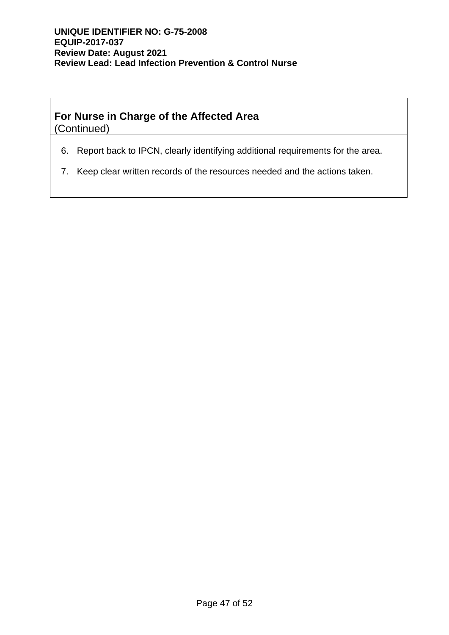# **For Nurse in Charge of the Affected Area**

(Continued)

- 6. Report back to IPCN, clearly identifying additional requirements for the area.
- 7. Keep clear written records of the resources needed and the actions taken.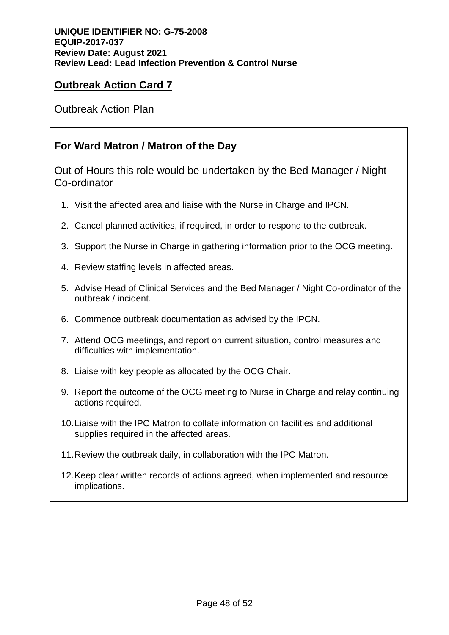Outbreak Action Plan

# **For Ward Matron / Matron of the Day**

Out of Hours this role would be undertaken by the Bed Manager / Night Co-ordinator

- 1. Visit the affected area and liaise with the Nurse in Charge and IPCN.
- 2. Cancel planned activities, if required, in order to respond to the outbreak.
- 3. Support the Nurse in Charge in gathering information prior to the OCG meeting.
- 4. Review staffing levels in affected areas.
- 5. Advise Head of Clinical Services and the Bed Manager / Night Co-ordinator of the outbreak / incident.
- 6. Commence outbreak documentation as advised by the IPCN.
- 7. Attend OCG meetings, and report on current situation, control measures and difficulties with implementation.
- 8. Liaise with key people as allocated by the OCG Chair.
- 9. Report the outcome of the OCG meeting to Nurse in Charge and relay continuing actions required.
- 10.Liaise with the IPC Matron to collate information on facilities and additional supplies required in the affected areas.
- 11.Review the outbreak daily, in collaboration with the IPC Matron.
- 12.Keep clear written records of actions agreed, when implemented and resource implications.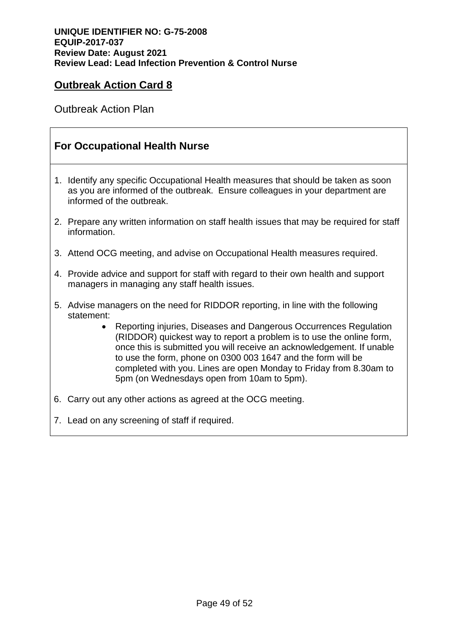Outbreak Action Plan

## **For Occupational Health Nurse**

- 1. Identify any specific Occupational Health measures that should be taken as soon as you are informed of the outbreak. Ensure colleagues in your department are informed of the outbreak.
- 2. Prepare any written information on staff health issues that may be required for staff information.
- 3. Attend OCG meeting, and advise on Occupational Health measures required.
- 4. Provide advice and support for staff with regard to their own health and support managers in managing any staff health issues.
- 5. Advise managers on the need for RIDDOR reporting, in line with the following statement:
	- Reporting injuries, Diseases and Dangerous Occurrences Regulation (RIDDOR) quickest way to report a problem is to use the [online form,](http://webcommunities.hse.gov.uk/connect.ti/concernsform/answerQuestionnaire?qid=594147) once this is submitted you will receive an acknowledgement. If unable to use the form, phone on 0300 003 1647 and the form will be completed with you. Lines are open Monday to Friday from 8.30am to 5pm (on Wednesdays open from 10am to 5pm).
- 6. Carry out any other actions as agreed at the OCG meeting.
- 7. Lead on any screening of staff if required.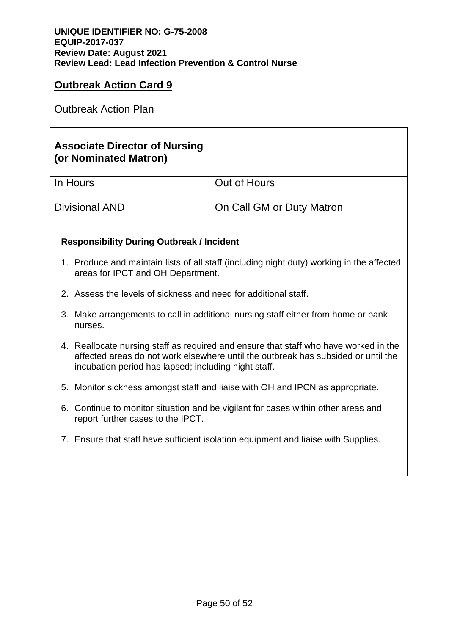Outbreak Action Plan

# **Associate Director of Nursing (or Nominated Matron)**

| In Hours       | Out of Hours              |
|----------------|---------------------------|
| Divisional AND | On Call GM or Duty Matron |

#### **Responsibility During Outbreak / Incident**

- 1. Produce and maintain lists of all staff (including night duty) working in the affected areas for IPCT and OH Department.
- 2. Assess the levels of sickness and need for additional staff.
- 3. Make arrangements to call in additional nursing staff either from home or bank nurses.
- 4. Reallocate nursing staff as required and ensure that staff who have worked in the affected areas do not work elsewhere until the outbreak has subsided or until the incubation period has lapsed; including night staff.
- 5. Monitor sickness amongst staff and liaise with OH and IPCN as appropriate.
- 6. Continue to monitor situation and be vigilant for cases within other areas and report further cases to the IPCT.
- 7. Ensure that staff have sufficient isolation equipment and liaise with Supplies.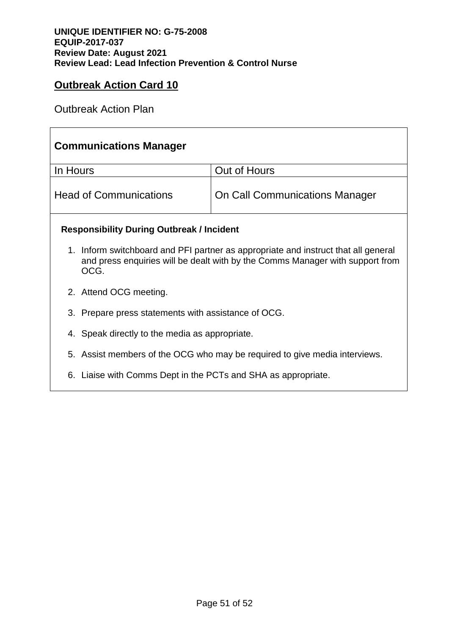Outbreak Action Plan

# **Communications Manager** In Hours  $\vert$  Out of Hours Head of Communications | On Call Communications Manager **Responsibility During Outbreak / Incident** 1. Inform switchboard and PFI partner as appropriate and instruct that all general and press enquiries will be dealt with by the Comms Manager with support from OCG. 2. Attend OCG meeting. 3. Prepare press statements with assistance of OCG. 4. Speak directly to the media as appropriate. 5. Assist members of the OCG who may be required to give media interviews. 6. Liaise with Comms Dept in the PCTs and SHA as appropriate.